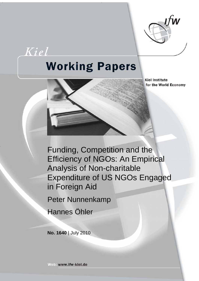

Kiel

# **Working Papers**

**Kiel Institute** for the World Economy



Funding, Competition and the Efficiency of NGOs: An Empirical Analysis of Non-charitable Expenditure of US NGOs Engaged in Foreign Aid

Peter Nunnenkamp

Hannes Öhler

**No. 1640** | July 2010

Web: www.ifw-kiel.de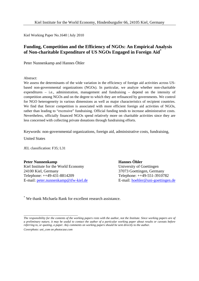Kiel Working Paper No.1640 | July 2010

### **Funding, Competition and the Efficiency of NGOs: An Empirical Analysis of Non-charitable Expenditure of US NGOs Engaged in Foreign Aid\***

Peter Nunnenkamp and Hannes Öhler

Abstract:

We assess the determinants of the wide variation in the efficiency of foreign aid activities across USbased non-governmental organizations (NGOs). In particular, we analyze whether non-charitable expenditures – i.e., administration, management and fundraising – depend on the intensity of competition among NGOs and on the degree to which they are refinanced by governments. We control for NGO heterogeneity in various dimensions as well as major characteristics of recipient countries. We find that fiercer competition is associated with more efficient foreign aid activities of NGOs, rather than leading to "excessive" fundraising. Official funding tends to increase administrative costs. Nevertheless, officially financed NGOs spend relatively more on charitable activities since they are less concerned with collecting private donations through fundraising efforts.

Keywords: non-governmental organizations, foreign aid, administrative costs, fundraising,

United States

JEL classification: F35; L31

#### Peter Nunnenkamp **Hannes** Öhler

Kiel Institute for the World Economy University of Goettingen 24100 Kiel, Germany 37073 Goettingen, Germany Telephone: ++49-431-8814209 Telephone: ++49-551-3910782 E-mail: [peter.nunnenkamp@ifw-kiel.de](mailto:peter.nunnenkamp@ifw-kiel.de) E-mail: [hoehler@uni-goettingen.de](mailto:hoehler@uni-goettingen.de)

\* We thank Michaela Rank for excellent research assistance.

*Coverphoto: uni\_com on photocase.com* 

\_\_\_\_\_\_\_\_\_\_\_\_\_\_\_\_\_\_\_\_\_\_\_\_\_\_\_\_\_\_\_\_\_\_\_\_

*The responsibility for the contents of the working papers rests with the author, not the Institute. Since working papers are of a preliminary nature, it may be useful to contact the author of a particular working paper about results or caveats before referring to, or quoting, a paper. Any comments on working papers should be sent directly to the author.*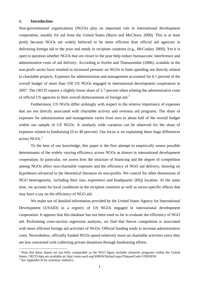#### **1. Introduction**

Non-governmental organizations (NGOs) play an important role in international development cooperation, notably for aid from the United States (Barro and McCleary 2008). This is at least partly because NGOs are widely believed to be more efficient than official aid agencies in delivering foreign aid to the poor and needy in recipient countries (e.g., McCoskey 2009). Yet it is open to question whether NGOs that are closer to the poor help reduce bureaucratic interference and administrative costs of aid delivery. According to Kerlin and Thanasombat (2006), scandals in the non-profit sector have resulted in increased pressure on NGOs to limit spending not directly related to charitable projects. Expenses for administration and management accounted for 6.1 percent of the overall budget of more than 550 US NGOs engaged in international development cooperation in 2007. The OECD reports a slightly lower share of 5.7 percent when relating the administrative costs of official US agencies to their overall disbursements of foreign aid.<sup>[1](#page-2-0)</sup>

Furthermore, US NGOs differ strikingly with respect to the relative importance of expenses that are not directly associated with charitable activity and overseas aid programs. The share of expenses for administration and management varies from zero to about half of the overall budget within our sample of US NGOs. A similarly wide variation can be observed for the share of expenses related to fundraising (0 to 40 percent). Our focus is on explaining these huge differences across NGOs.[2](#page-2-1)

To the best of our knowledge, this paper is the first attempt to empirically assess possible determinants of the widely varying efficiency across NGOs as donors in international development cooperation. In particular, we assess how the structure of financing and the degree of competition among NGOs affect non-charitable expenses and the efficiency of NGO aid delivery, drawing on hypotheses advanced in the theoretical literature on non-profits. We control for other dimensions of NGO heterogeneity, including their size, experience and headquarter (HQ) location. At the same time, we account for local conditions in the recipient countries as well as sector-specific effects that may have a say on the efficiency of NGO aid.

We make use of detailed information provided by the United States Agency for International Development (USAID) in a registry of US NGOs engaged in international development cooperation. It appears that this database has not been used so far to evaluate the efficiency of NGO aid. Performing cross-section regression analyses, we find that fiercer competition is associated with more efficient foreign aid activities of NGOs. Official funding tends to increase administrative costs. Nevertheless, officially funded NGOs spend relatively more on charitable activities since they are less concerned with collecting private donations through fundraising efforts.

<sup>&</sup>lt;sup>1</sup> Note that these shares are not fully comparable as the NGO figure includes domestic programs within the United States. OECD data are available at: http://stats.oecd.org/WBOS/Default.aspx?DatasetCode=CRSNEW. 2

<span id="page-2-1"></span><span id="page-2-0"></span> $2$  See Appendix B for summary statistics.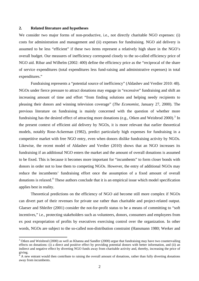#### **2. Related literature and hypotheses**

 $\overline{a}$ 

We consider two major forms of non-productive, i.e., not directly charitable NGO expenses: (i) costs for administration and management and (ii) expenses for fundraising. NGO aid delivery is assumed to be less "efficient" if these two items represent a relatively high share in the NGO's overall budget. Our measures of inefficiency correspond closely to the so-called efficiency price of NGO aid. Ribar and Wilhelm (2002: 400) define the efficiency price as the "reciprocal of the share of service expenditures (total expenditures less fund-raising and administrative expenses) in total expenditures."

Fundraising represents a "potential source of inefficiency" (Aldashev and Verdier 2010: 48). NGOs under fierce pressure to attract donations may engage in "excessive" fundraising and shift an increasing amount of time and effort "from finding solutions and helping needy recipients to pleasing their donors and winning television coverage" (*The Economist,* January 27, 2000). The previous literature on fundraising is mainly concerned with the question of whether more fundraising has the desired effect of attracting more donations (e.g., Otken and Weisbrod 2000).<sup>[3](#page-3-0)</sup> In the present context of efficient aid delivery by NGOs, it is more relevant that earlier theoretical models, notably Rose-Ackerman (1982), predict particularly high expenses for fundraising in a competitive market with free NGO entry, even when donors dislike fundraising activity by NGOs. Likewise, the recent model of Aldashev and Verdier (2010) shows that an NGO increases its fundraising if an additional NGO enters the market and the amount of overall donations is assumed to be fixed. This is because it becomes more important for "incumbents" to form closer bonds with donors in order not to lose them to competing NGOs. However, the entry of additional NGOs may reduce the incumbents' fundraising effort once the assumption of a fixed amount of overall donations is relaxed.<sup>[4](#page-3-1)</sup> These authors conclude that it is an empirical issue which model specification applies best in reality.

Theoretical predictions on the efficiency of NGO aid become still more complex if NGOs can divert part of their revenues for private use rather than charitable and project-related output. Glaeser and Shleifer (2001) consider the not-for-profit status to be a means of committing to "soft incentives," i.e., protecting stakeholders such as volunteers, donors, consumers and employees from ex post expropriation of profits by executives exercising control over the organization. In other words, NGOs are subject to the so-called non-distribution constraint (Hansmann 1980; Werker and

<span id="page-3-0"></span> $3$  Otken and Weisbrod (2000) as well as Khanna and Sandler (2000) argue that fundraising may have two countervailing effects on donations: (i) a direct and positive effect by providing potential donors with better information, and (ii) an indirect and negative effect by diverting NGO funds away from charitable activity and, thereby, increasing the price of giving.

<span id="page-3-1"></span><sup>4</sup> A new entrant would then contribute to raising the overall amount of donations, rather than fully diverting donations away from incumbents.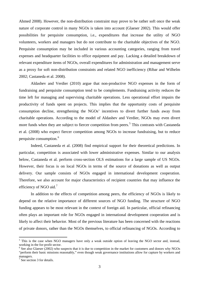Ahmed 2008). However, the non-distribution constraint may prove to be rather soft once the weak nature of corporate control in many NGOs is taken into account (Glaeser 2002). This would offer possibilities for perquisite consumption, i.e., expenditures that increase the utility of NGO volunteers, workers and managers but do not contribute to the charitable objectives of the NGO. Perquisite consumption may be included in various accounting categories, ranging from travel expenses and headquarter facilities to office equipment and pay. Lacking a detailed breakdown of relevant expenditure items of NGOs, overall expenditures for administration and management serve as a proxy for soft non-distribution constraints and related NGO inefficiency (Ribar and Wilhelm 2002; Castaneda et al. 2008).

Aldashev and Verdier (2010) argue that non-productive NGO expenses in the form of fundraising and perquisite consumption tend to be complements. Fundraising activity reduces the time left for managing and supervising charitable operations. Less operational effort impairs the productivity of funds spent on projects. This implies that the opportunity costs of perquisite consumption decline, strengthening the NGOs' incentives to divert further funds away from charitable operations. According to the model of Aldashev and Verdier, NGOs may even divert more funds when they are subject to fiercer competition from peers.<sup>[5](#page-4-0)</sup> This contrasts with Castaneda et al. (2008) who expect fiercer competition among NGOs to increase fundraising, but to reduce perquisite consumption.<sup>[6](#page-4-1)</sup>

Indeed, Castaneda et al. (2008) find empirical support for their theoretical predictions. In particular, competition is associated with lower administrative expenses. Similar to our analysis below, Castaneda et al. perform cross-section OLS estimations for a large sample of US NGOs. However, their focus is on local NGOs in terms of the source of donations as well as output delivery. Our sample consists of NGOs engaged in international development cooperation. Therefore, we also account for major characteristics of recipient countries that may influence the efficiency of NGO aid. $<sup>7</sup>$  $<sup>7</sup>$  $<sup>7</sup>$ </sup>

In addition to the effects of competition among peers, the efficiency of NGOs is likely to depend on the relative importance of different sources of NGO funding. The structure of NGO funding appears to be most relevant in the context of foreign aid. In particular, official refinancing often plays an important role for NGOs engaged in international development cooperation and is likely to affect their behavior. Most of the previous literature has been concerned with the reactions of private donors, rather than the NGOs themselves, to official refinancing of NGOs. According to

<sup>&</sup>lt;sup>5</sup> This is the case when NGO managers have only a weak outside option of leaving the NGO sector and, instead, working in the for-profit sector.

<sup>&</sup>lt;sup>6</sup> See also Glaeser (2002) who suspects that it is due to competition in the market for customers and donors why NGOs "perform their basic missions reasonably," even though weak governance institutions allow for capture by workers and managers.

<span id="page-4-2"></span><span id="page-4-1"></span><span id="page-4-0"></span><sup>7</sup> See section 3 for details.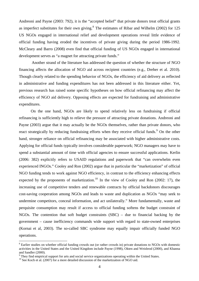<span id="page-5-0"></span>Andreoni and Payne (2003: 792), it is the "accepted belief" that private donors treat official grants as imperfect substitutes for their own giving.<sup>[8](#page-5-0)</sup> The estimates of Ribar and Wilhelm (2002) for 125 US NGOs engaged in international relief and development operations reveal little evidence of official funding having eroded the incentives of private giving during the period 1986-1992. McCleary and Barro (2008) even find that official funding of US NGOs engaged in international development serves as "a magnet for attracting private funds."

 Another strand of the literature has addressed the question of whether the structure of NGO financing affects the allocation of NGO aid across recipient countries (e.g., Dreher et al. 2010). Though clearly related to the spending behavior of NGOs, the efficiency of aid delivery as reflected in administrative and funding expenditures has not been addressed in this literature either. Yet, previous research has raised some specific hypotheses on how official refinancing may affect the efficiency of NGO aid delivery. Opposing effects are expected for fundraising and administrative expenditures.

On the one hand, NGOs are likely to spend relatively less on fundraising if official refinancing is sufficiently high to relieve the pressure of attracting private donations. Andreoni and Payne (2003) argue that it may actually be the NGOs themselves, rather than private donors, who react strategically by reducing fundraising efforts when they receive official funds.<sup>[9](#page-5-0)</sup> On the other hand, stronger reliance on official refinancing may be associated with higher administrative costs. Applying for official funds typically involves considerable paperwork; NGO managers may have to spend a substantial amount of time with official agencies to ensure successful applications. Kerlin (2006: 382) explicitly refers to USAID regulations and paperwork that "can overwhelm even experienced INGOs." Cooley and Ron (2002) argue that in particular the "marketization" of official NGO funding tends to work against NGO efficiency, in contrast to the efficiency enhancing effects expected by the proponents of marketization.<sup>[10](#page-5-0)</sup> In the view of Cooley and Ron (2002: 17), the increasing use of competitive tenders and renewable contracts by official backdonors discourages cost-saving cooperation among NGOs and leads to waste and duplication as NGOs "may seek to undermine competitors, conceal information, and act unilaterally." More fundamentally, waste and perquisite consumption may result if access to official funding softens the budget constraint of NGOs. The contention that soft budget constraints (SBC) – due to financial backing by the government – cause inefficiency commands wide support with regard to state-owned enterprises (Kornai et al, 2003). The so-called SBC syndrome may equally impair officially funded NGO operations.

<sup>&</sup>lt;sup>8</sup> Earlier studies on whether official funding crowds out (or rather crowds in) private donations to NGOs with domestic activities in the United States and the United Kingdom include Payne (1998), Okten and Weisbrod (2000), and Khanna and Sandler (2000).

<sup>&</sup>lt;sup>9</sup> They find empirical support for arts and social service organizations operating within the United States.

 $\frac{10}{10}$  See Koch et al. (2007) for a more detailed discussion of the marketization of NGO aid.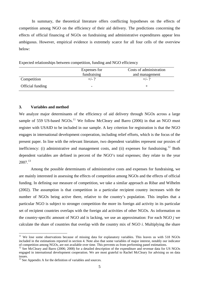<span id="page-6-0"></span> In summary, the theoretical literature offers conflicting hypotheses on the effects of competition among NGO on the efficiency of their aid delivery. The predictions concerning the effects of official financing of NGOs on fundraising and administrative expenditures appear less ambiguous. However, empirical evidence is extremely scarce for all four cells of the overview below:

|  | Expected relationships between competition, funding and NGO efficiency |  |  |
|--|------------------------------------------------------------------------|--|--|
|  |                                                                        |  |  |

|                  | Expenses for<br>fundraising | Costs of administration<br>and management |
|------------------|-----------------------------|-------------------------------------------|
| Competition      | $+/-$ ?                     | $+/-$ ?                                   |
| Official funding |                             |                                           |

#### **3. Variables and method**

We analyze major determinants of the efficiency of aid delivery through NGOs across a large sample of 559 US-based  $NGOs.$ <sup>[11](#page-6-0)</sup> We follow McCleary and Barro (2006) in that an NGO must register with USAID to be included in our sample. A key criterion for registration is that the NGO engages in international development cooperation, including relief efforts, which is the focus of the present paper. In line with the relevant literature, two dependent variables represent our proxies of inefficiency: (i) administrative and management costs, and (ii) expenses for fundraising.<sup>[12](#page-6-0)</sup> Both dependent variables are defined in percent of the NGO's total expenses; they relate to the year 2007.[13](#page-6-0)

Among the possible determinants of administrative costs and expenses for fundraising, we are mainly interested in assessing the effects of competition among NGOs and the effects of official funding. In defining our measure of competition, we take a similar approach as Ribar and Wilhelm (2002). The assumption is that competition in a particular recipient country increases with the number of NGOs being active there, relative to the country's population. This implies that a particular NGO is subject to stronger competition the more its foreign aid activity in its particular set of recipient countries overlaps with the foreign aid activities of other NGOs. As information on the country-specific amount of NGO aid is lacking, we use an approximation: For each NGO *j* we calculate the share of countries that overlap with the country mix of NGO *i*. Multiplying the share

<sup>&</sup>lt;sup>11</sup> We lose some observations because of missing data for explanatory variables. This leaves us with 518 NGOs included in the estimations reported in section 4. Note also that some variables of major interest, notably our indicator of competition among NGOs, are not available over time. This prevents us from performing panel estim

 $12$  See McCleary and Barro (2006; 2008) for a detailed description of the expenditure and revenue data for US NGOs engaged in international development cooperation. We are most grateful to Rachel McCleary for advising us on data issues.

<sup>&</sup>lt;sup>13</sup> See Appendix A for the definition of variables and sources.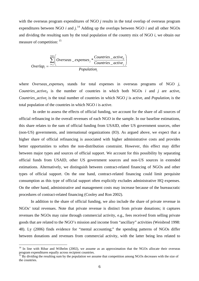<span id="page-7-0"></span>with the overseas program expenditures of NGO *i* results in the total overlap of overseas program expenditures between NGO *i* and *j*. [14](#page-7-0) Adding up the overlaps between NGO *i* and all other NGOs and dividing the resulting sum by the total population of the country mix of NGO *i*, we obtain our measure of competition: <sup>[15](#page-7-0)</sup>

$$
Overall_i = \frac{\sum_{i \neq j}^{559} \left(Overseas\_expenses_j * \frac{Countries\_active_{ij}}{Countries\_active_j}\right)}{Population_i}
$$

where *Overseas\_expensesj* stands for total expenses in overseas programs of NGO *j*, *Countries active<sub>ii</sub>* is the number of countries in which both NGOs *i* and *j* are active, *Countries active<sub>i</sub>* is the total number of countries in which NGO *j* is active, and *Population<sub>i</sub>* is the total population of the countries in which NGO *i* is active.

 In order to assess the effects of official funding, we account for the share of all sources of official refinancing in the overall revenues of each NGO in the sample. In our baseline estimations, this share relates to the sum of official funding from USAID, other US government sources, other (non-US) governments, and international organizations (IO). As argued above, we expect that a higher share of official refinancing is associated with higher administrative costs and provides better opportunities to soften the non-distribution constraint. However, this effect may differ between major types and sources of official support. We account for this possibility by separating official funds from USAID, other US government sources and non-US sources in extended estimations. Alternatively, we distinguish between contract-related financing of NGOs and other types of official support. On the one hand, contract-related financing could limit perquisite consumption as this type of official support often explicitly excludes administrative HQ expenses. On the other hand, administrative and management costs may increase because of the bureaucratic procedures of contract-related financing (Cooley and Ron 2002).

In addition to the share of official funding, we also include the share of private revenue in NGOs' total revenues. Note that private revenue is distinct from private donations; it captures revenues the NGOs may raise through commercial activity, e.g., fees received from selling private goods that are related to the NGO's mission and income from "ancillary" activities (Weisbrod 1998: 48). Ly (2006) finds evidence for "mental accounting;" the spending patterns of NGOs differ between donations and revenues from commercial activity, with the latter being less related to

 $14$  In line with Ribar and Wilhelm (2002), we assume as an approximation that the NGOs allocate their overseas program expenditures equally across recipient countries.

<sup>&</sup>lt;sup>15</sup> By dividing the resulting sum by the population we assume that competition among NGOs decreases with the size of the countries.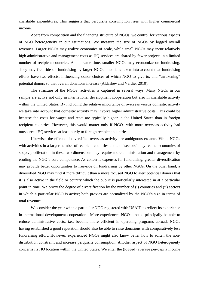charitable expenditures. This suggests that perquisite consumption rises with higher commercial income.

Apart from competition and the financing structure of NGOs, we control for various aspects of NGO heterogeneity in our estimations. We measure the size of NGOs by logged overall revenues. Larger NGOs may realize economies of scale, while small NGOs may incur relatively high administrative and management costs as HQ services are shared by fewer projects in a limited number of recipient countries. At the same time, smaller NGOs may economize on fundraising. They may free-ride on fundraising by larger NGOs once it is taken into account that fundraising efforts have two effects: influencing donor choices of which NGO to give to, and "awakening" potential donors so that overall donations increase (Aldashev and Verdier 2010).

The structure of the NGOs' activities is captured in several ways. Many NGOs in our sample are active not only in international development cooperation but also in charitable activity within the United States. By including the relative importance of overseas versus domestic activity we take into account that domestic activity may involve higher administrative costs. This could be because the costs for wages and rents are typically higher in the United States than in foreign recipient countries. However, this would matter only if NGOs with more overseas activity had outsourced HQ services at least partly to foreign recipient countries.

Likewise, the effects of diversified overseas activity are ambiguous ex ante. While NGOs with activities in a larger number of recipient countries and aid "sectors" may realize economies of scope, proliferation in these two dimensions may require more administration and management by eroding the NGO's core competence. As concerns expenses for fundraising, greater diversification may provide better opportunities to free-ride on fundraising by other NGOs. On the other hand, a diversified NGO may find it more difficult than a more focused NGO to alert potential donors that it is also active in the field or country which the public is particularly interested in at a particular point in time. We proxy the degree of diversification by the number of (i) countries and (ii) sectors in which a particular NGO is active; both proxies are normalized by the NGO's size in terms of total revenues.

We consider the year when a particular NGO registered with USAID to reflect its experience in international development cooperation. More experienced NGOs should principally be able to reduce administrative costs, i.e., become more efficient in operating programs abroad. NGOs having established a good reputation should also be able to raise donations with comparatively less fundraising effort. However, experienced NGOs might also know better how to soften the nondistribution constraint and increase perquisite consumption. Another aspect of NGO heterogeneity concerns its HQ location within the United States. We enter the (logged) average per-capita income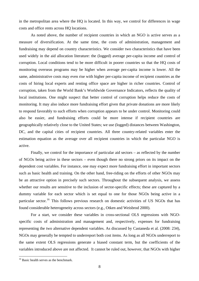<span id="page-9-0"></span>in the metropolitan area where the HQ is located. In this way, we control for differences in wage costs and office rents across HQ locations.

As noted above, the number of recipient countries in which an NGO is active serves as a measure of diversification. At the same time, the costs of administration, management and fundraising may depend on country characteristics. We consider two characteristics that have been used widely in the aid allocation literature: the (logged) average per-capita income and control of corruption. Local conditions tend to be more difficult in poorer countries so that the HQ costs of monitoring overseas programs may be higher when average per-capita income is lower. All the same, administrative costs may even rise with higher per-capita income of recipient countries as the costs of hiring local experts and renting office space are higher in richer countries. Control of corruption, taken from the World Bank's Worldwide Governance Indicators, reflects the quality of local institutions. One might suspect that better control of corruption helps reduce the costs of monitoring. It may also induce more fundraising effort given that private donations are more likely to respond favorably to such efforts when corruption appears to be under control. Monitoring could also be easier, and fundraising efforts could be more intense if recipient countries are geographically relatively close to the United States; we use (logged) distances between Washington, DC, and the capital cities of recipient countries. All three country-related variables enter the estimation equation as the average over all recipient countries in which the particular NGO is active.

Finally, we control for the importance of particular aid sectors – as reflected by the number of NGOs being active in these sectors – even though there no strong priors on its impact on the dependent cost variables. For instance, one may expect more fundraising effort in important sectors such as basic health and training. On the other hand, free-riding on the efforts of other NGOs may be an attractive option in precisely such sectors. Throughout the subsequent analysis, we assess whether our results are sensitive to the inclusion of sector-specific effects; these are captured by a dummy variable for each sector which is set equal to one for those NGOs being active in a particular sector.<sup>[16](#page-9-0)</sup> This follows previous research on domestic activities of US NGOs that has found considerable heterogeneity across sectors (e.g., Otken and Weisbrod 2000).

For a start, we consider these variables in cross-sectional OLS regressions with NGOspecific costs of administration and management and, respectively, expenses for fundraising representing the two alternative dependent variables. As discussed by Castaneda et al. (2008: 234), NGOs may generally be tempted to underreport both cost items. As long as all NGOs underreport to the same extent OLS regressions generate a biased constant term, but the coefficients of the variables introduced above are not affected. It cannot be ruled out, however, that NGOs with higher

<sup>&</sup>lt;sup>16</sup> Basic health serves as the benchmark.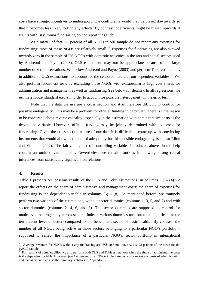<span id="page-10-0"></span>costs have stronger incentives to underreport. The coefficients would then be biased downwards so that it becomes less likely to find any effects. By contrast, coefficients might be biased upwards if NGOs with, say, minor fundraising do not report it as such.

As a matter of fact, 17 percent of all NGOs in our sample do not report any expenses for fundraising; most of these NGOs are relatively small.<sup>[17](#page-10-0)</sup> Expenses for fundraising are also skewed towards zero in the sample of US NGOs with domestic activities in the arts and social sectors used by Andreoni and Payne (2003). OLS estimations may not be appropriate because of the large number of zero observations. We follow Andreoni and Payne (2003) and perform Tobit estimations, in addition to OLS estimations, to account for the censored nature of our dependent variables.<sup>[18](#page-10-0)</sup> We also perform robustness tests by excluding those NGOs with extraordinarily high cost shares for administration and management as well as fundraising (see below for details). In all regressions, we estimate robust standard errors in order to account for possible heterogeneity in the error term.

Note that the data we use are a cross section and it is therefore difficult to control for possible endogeneity. This may be a problem for official funding in particular. There is little reason to be concerned about reverse causality, especially in the estimation with administrative costs as the dependent variable. However, official funding may be jointly determined with expenses for fundraising. Given the cross-section nature of our data it is difficult to come up with convincing instruments that would allow us to control adequately for this possible endogeneity (see also Ribar and Wilhelm 2002). The fairly long list of controlling variables introduced above should help contain an omitted variable bias. Nevertheless we remain cautious in drawing strong causal inferences from statistically significant correlations.

#### **4. Results**

 $\overline{a}$ 

Table 1 presents our baseline results of the OLS and Tobit estimations. In columns  $(1) - (4)$  we report the effects on the share of administrative and management costs; the share of expenses for fundraising is the dependent variable in columns  $(5) - (8)$ . As mentioned before, we routinely perform two variants of the estimations, without sector dummies (columns 1, 3, 5, and 7) and with sector dummies (columns 2, 4, 6, and 8). The sector dummies are supposed to control for unobserved heterogeneity across sectors. Indeed, various dummies turn out to be significant at the ten percent level or better, compared to the benchmark sector of basic health. By contrast, the number of all NGOs being active in those sectors belonging to a particular NGO's portfolio – supposed to reflect the importance of a particular NGO's sector portfolio in international

<sup>&</sup>lt;sup>17</sup> Average revenues for NGOs without any fundraising are US\$ 10.8 million, i.e., just 23 percent of the mean for the overall sample.

<sup>&</sup>lt;sup>18</sup> For reasons of comparability, we also perform both OLS and Tobit estimations when the share of administrative costs is the dependent variable. However, just 1.6 percent of all NGOs in the sample do not report any costs of administration and management. See also the summary statistics in Appendix B.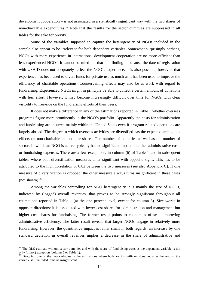<span id="page-11-0"></span>development cooperation – is not associated in a statistically significant way with the two shares of non-charitable expenditures.<sup>[19](#page-11-0)</sup> Note that the results for the sector dummies are suppressed in all tables for the sake for brevity.

Some of the variables supposed to capture the heterogeneity of NGOs included in the sample also appear to be irrelevant for both dependent variables. Somewhat surprisingly perhaps, NGOs with more experience in international development cooperation are no more efficient than less experienced NGOs. It cannot be ruled out that this finding is because the date of registration with USAID does not adequately reflect the NGO's experience. It is also possible, however, that experience has been used to divert funds for private use as much as it has been used to improve the efficiency of charitable operations. Countervailing effects may also be at work with regard to fundraising. Experienced NGOs might in principle be able to collect a certain amount of donations with less effort. However, it may become increasingly difficult over time for NGOs with clear visibility to free-ride on the fundraising efforts of their peers.

It does not make a difference in any of the estimations reported in Table 1 whether overseas programs figure more prominently in the NGO's portfolio. Apparently the costs for administration and fundraising are incurred mainly within the United States even if program-related operations are largely abroad. The degree to which overseas activities are diversified has the expected ambiguous effects on non-charitable expenditure shares. The number of countries as well as the number of sectors in which an NGO is active typically has no significant impact on either administrative costs or fundraising expenses. There are a few exceptions, in column (6) of Table 1 and in subsequent tables, where both diversification measures enter significant with opposite signs. This has to be attributed to the high correlation of 0.82 between the two measures (see also Appendix C). If one measure of diversification is dropped, the other measure always turns insignificant in these cases  $(not shown).^{20}$  $(not shown).^{20}$  $(not shown).^{20}$ 

Among the variables controlling for NGO heterogeneity it is mainly the size of NGOs, indicated by (logged) overall revenues, that proves to be strongly significant throughout all estimations reported in Table 1 (at the one percent level, except for column 5). Size works in opposite directions: it is associated with lower cost shares for administration and management but higher cost shares for fundraising. The former result points to economies of scale improving administrative efficiency. The latter result reveals that larger NGOs engage in relatively more fundraising. However, the quantitative impact is rather small in both regards: an increase by one standard deviation in overall revenues implies a decrease in the share of administrative and

 $19$  The OLS estimate without sector dummies and with the share of fundraising costs as the dependent variable is the only (minor) exception (column 5 of Table 1).

<sup>&</sup>lt;sup>20</sup> Dropping one of the two variables in the estimations where both are insignificant does not alter the results; the variable still included remains insignificant.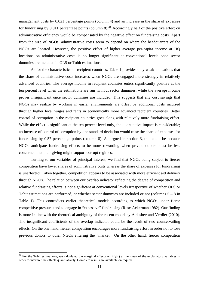<span id="page-12-0"></span>management costs by 0.021 percentage points (column 4) and an increase in the share of expenses for fundraising by 0.011 percentage points (column 8).<sup>[21](#page-12-0)</sup> Accordingly half of the positive effect on administrative efficiency would be compensated by the negative effect on fundraising costs. Apart from the size of NGOs, administrative costs seem to depend on where the headquarters of the NGOs are located. However, the positive effect of higher average per-capita income at HQ locations on administrative costs is no longer significant at conventional levels once sector dummies are included in OLS or Tobit estimations.

As for the characteristics of recipient countries, Table 1 provides only weak indications that the share of administrative costs increases when NGOs are engaged more strongly in relatively advanced countries. The average income in recipient countries enters significantly positive at the ten percent level when the estimations are run without sector dummies, while the average income proves insignificant once sector dummies are included. This suggests that any cost savings that NGOs may realize by working in easier environments are offset by additional costs incurred through higher local wages and rents in economically more advanced recipient countries. Better control of corruption in the recipient countries goes along with relatively more fundraising effort. While the effect is significant at the ten percent level only, the quantitative impact is considerable; an increase of control of corruption by one standard deviation would raise the share of expenses for fundraising by 0.57 percentage points (column 8). As argued in section 3, this could be because NGOs anticipate fundraising efforts to be more rewarding when private donors must be less concerned that their giving might support corrupt regimes.

Turning to our variables of principal interest, we find that NGOs being subject to fiercer competition have lower shares of administrative costs whereas the share of expenses for fundraising is unaffected. Taken together, competition appears to be associated with more efficient aid delivery through NGOs. The relation between our overlap indicator reflecting the degree of competition and relative fundraising efforts is not significant at conventional levels irrespective of whether OLS or Tobit estimations are performed, or whether sector dummies are included or not (columns 5 – 8 in Table 1). This contradicts earlier theoretical models according to which NGOs under fierce competitive pressure tend to engage in "excessive" fundraising (Rose-Ackerman 1982). Our finding is more in line with the theoretical ambiguity of the recent model by Aldashev and Verdier (2010). The insignificant coefficients of the overlap indicator could be the result of two countervailing effects: On the one hand, fiercer competition encourages more fundraising effort in order not to lose previous donors to other NGOs entering the "market." On the other hand, fiercer competition

<sup>&</sup>lt;sup>21</sup> For the Tobit estimations, we calculated the marginal effects on  $E(y|x)$  at the mean of the explanatory variables in order to interpret the effects quantitatively. Complete results are available on request.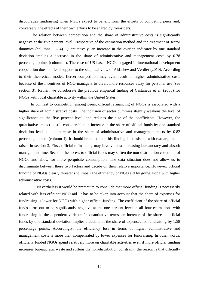discourages fundraising when NGOs expect to benefit from the efforts of competing peers and, conversely, the effects of their own efforts to be shared by free-riders.

The relation between competition and the share of administrative costs is significantly negative at the five percent level, irrespective of the estimation method and the treatment of sector dummies (columns  $1 - 4$ ). Quantitatively, an increase in the overlap indicator by one standard deviation implies a decrease in the share of administrative and management costs by 0.78 percentage points (column 4). The case of US-based NGOs engaged in international development cooperation does not lend support to the skeptical view of Aldashev and Verdier (2010). According to their theoretical model, fiercer competition may even result in higher administrative costs because of the incentives of NGO managers to divert more resources away for personal use (see section 3). Rather, we corroborate the previous empirical finding of Castaneda et al. (2008) for NGOs with local charitable activity within the United States.

In contrast to competition among peers, official refinancing of NGOs is associated with a higher share of administrative costs. The inclusion of sector dummies slightly weakens the level of significance to the five percent level, and reduces the size of the coefficients. However, the quantitative impact is still considerable: an increase in the share of official funds by one standard deviation leads to an increase in the share of administrative and management costs by 0.82 percentage points (column 4). It should be noted that this finding is consistent with two arguments raised in section 3. First, official refinancing may involve cost-increasing bureaucracy and absorb management time. Second, the access to official funds may soften the non-distribution constraint of NGOs and allow for more perquisite consumption. The data situation does not allow us to discriminate between these two factors and decide on their relative importance. However, official funding of NGOs clearly threatens to impair the efficiency of NGO aid by going along with higher administrative costs.

Nevertheless it would be premature to conclude that more official funding is necessarily related with less efficient NGO aid. It has to be taken into account that the share of expenses for fundraising is lower for NGOs with higher official funding. The coefficient of the share of official funds turns out to be significantly negative at the one percent level in all four estimations with fundraising as the dependent variable. In quantitative terms, an increase of the share of official funds by one standard deviation implies a decline of the share of expenses for fundraising by 1.58 percentage points. Accordingly, the efficiency loss in terms of higher administrative and management costs is more than compensated by lower expenses for fundraising. In other words, officially funded NGOs spend relatively more on charitable activities even if more official funding increases bureaucratic waste and softens the non-distribution constraint; the reason is that officially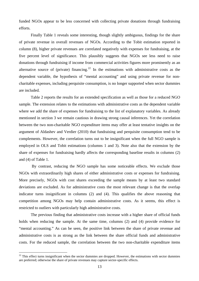<span id="page-14-0"></span>funded NGOs appear to be less concerned with collecting private donations through fundraising efforts.

Finally Table 1 reveals some interesting, though slightly ambiguous, findings for the share of private revenue in overall revenues of NGOs. According to the Tobit estimation reported in column (8), higher private revenues are correlated negatively with expenses for fundraising, at the five percent level of significance. This plausibly suggests that NGOs see less need to raise donations through fundraising if income from commercial activities figures more prominently as an alternative source of (private) financing.<sup>[22](#page-14-0)</sup> In the estimations with administrative costs as the dependent variable, the hypothesis of "mental accounting" and using private revenue for noncharitable expenses, including perquisite consumption, is no longer supported when sector dummies are included.

Table 2 reports the results for an extended specification as well as those for a reduced NGO sample. The extension relates to the estimations with administrative costs as the dependent variable where we add the share of expenses for fundraising to the list of explanatory variables. As already mentioned in section 3 we remain cautious in drawing strong causal inferences. Yet the correlation between the two non-charitable NGO expenditure items may offer at least tentative insights on the argument of Aldashev and Verdier (2010) that fundraising and perquisite consumption tend to be complements. However, the correlation turns out to be insignificant when the full NGO sample is employed in OLS and Tobit estimations (columns 1 and 3). Note also that the extension by the share of expenses for fundraising hardly affects the corresponding baseline results in columns (2) and (4) of Table 1.

 By contrast, reducing the NGO sample has some noticeable effects. We exclude those NGOs with extraordinarily high shares of either administrative costs or expenses for fundraising. More precisely, NGOs with cost shares exceeding the sample means by at least two standard deviations are excluded. As for administrative costs the most relevant change is that the overlap indicator turns insignificant in columns (2) and (4). This qualifies the above reasoning that competition among NGOs may help contain administrative costs. As it seems, this effect is restricted to outliers with particularly high administrative costs.

The previous finding that administrative costs increase with a higher share of official funds holds when reducing the sample. At the same time, columns (2) and (4) provide evidence for "mental accounting." As can be seen, the positive link between the share of private revenue and administrative costs is as strong as the link between the share official funds and administrative costs. For the reduced sample, the correlation between the two non-charitable expenditure items

 $22$  This effect turns insignificant when the sector dummies are dropped. However, the estimations with sector dummies are preferred; otherwise the share of private revenues may capture sector-specific effects.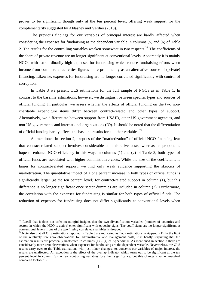<span id="page-15-0"></span>proves to be significant, though only at the ten percent level, offering weak support for the complementarity suggested by Aldashev and Verdier (2010).

The previous findings for our variables of principal interest are hardly affected when considering the expenses for fundraising as the dependent variable in columns (5) and (6) of Table 2. The results for the controlling variables weaken somewhat in two respects.<sup>[23](#page-15-0)</sup> The coefficients of the share of private revenue are no longer significant at conventional levels. Apparently it is mainly NGOs with extraordinarily high expenses for fundraising which reduce fundraising efforts when income from commercial activities figures more prominently as an alternative source of (private) financing. Likewise, expenses for fundraising are no longer correlated significantly with control of corruption.

In Table 3 we present OLS estimations for the full sample of NGOs as in Table 1. In contrast to the baseline estimations, however, we distinguish between specific types and sources of official funding. In particular, we assess whether the effects of official funding on the two noncharitable expenditure items differ between contract-related and other types of support. Alternatively, we differentiate between support from USAID, other US government agencies, and non-US governments and international organizations (IO). It should be noted that the differentiation of official funding hardly affects the baseline results for all other variables.<sup>[24](#page-15-0)</sup>

As mentioned in section 2, skeptics of the "marketization" of official NGO financing fear that contract-related support involves considerable administrative costs, whereas its proponents hope to enhance NGO efficiency in this way. In columns (1) and (2) of Table 3, both types of official funds are associated with higher administrative costs. While the size of the coefficients is larger for contract-related support, we find only weak evidence supporting the skeptics of marketization. The quantitative impact of a one percent increase in both types of official funds is significantly larger (at the ten percent level) for contract-related support in column (1), but this difference is no longer significant once sector dummies are included in column (2). Furthermore, the correlation with the expenses for fundraising is similar for both types of official funds. The reduction of expenses for fundraising does not differ significantly at conventional levels when

 $23$  Recall that it does not offer meaningful insights that the two diversification variables (number of countries and sectors in which the NGO is active) enter significant with opposite signs. The coefficients are no longer significant at conventional levels if one of the two (highly correlated) variables is dropped.

 $^{24}$  Note also that all OLS estimations reported in Table 3 are replicated as Tobit estimations in Appendix D. In the light of the relatively few zero observations for administrative and management costs, it is hardly surprising that the estimation results are practically unaffected in columns  $(1) - (4)$  of Appendix D. As mentioned in section 3 there are considerably more zero observations when expenses for fundraising are the dependent variable. Nevertheless, the OLS results carry over to the Tobit estimations with just minor changes. As concerns our variables of major interest, the results are unaffected. An exception is the effect of the overlap indicator which turns out to be significant at the ten percent level in column (8). A few controlling variables lose their significance, but this change is rather marginal compared to Table 3.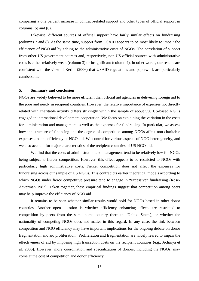comparing a one percent increase in contract-related support and other types of official support in columns  $(5)$  and  $(6)$ .

Likewise, different sources of official support have fairly similar effects on fundraising (columns 7 and 8). At the same time, support from USAID appears to be most likely to impair the efficiency of NGO aid by adding to the administrative costs of NGOs. The correlation of support from other US government sources and, respectively, non-US official sources with administrative costs is either relatively weak (column 3) or insignificant (column 4). In other words, our results are consistent with the view of Kerlin (2006) that USAID regulations and paperwork are particularly cumbersome.

#### **5. Summary and conclusion**

NGOs are widely believed to be more efficient than official aid agencies in delivering foreign aid to the poor and needy in recipient countries. However, the relative importance of expenses not directly related with charitable activity differs strikingly within the sample of about 550 US-based NGOs engaged in international development cooperation. We focus on explaining the variation in the costs for administration and management as well as the expenses for fundraising. In particular, we assess how the structure of financing and the degree of competition among NGOs affect non-charitable expenses and the efficiency of NGO aid. We control for various aspects of NGO heterogeneity, and we also account for major characteristics of the recipient countries of US NGO aid.

We find that the costs of administration and management tend to be relatively low for NGOs being subject to fiercer competition. However, this effect appears to be restricted to NGOs with particularly high administrative costs. Fiercer competition does not affect the expenses for fundraising across our sample of US NGOs. This contradicts earlier theoretical models according to which NGOs under fierce competitive pressure tend to engage in "excessive" fundraising (Rose-Ackerman 1982). Taken together, these empirical findings suggest that competition among peers may help improve the efficiency of NGO aid.

It remains to be seen whether similar results would hold for NGOs based in other donor countries. Another open question is whether efficiency enhancing effects are restricted to competition by peers from the same home country (here the United States), or whether the nationality of competing NGOs does not matter in this regard. In any case, the link between competition and NGO efficiency may have important implications for the ongoing debate on donor fragmentation and aid proliferation. Proliferation and fragmentation are widely feared to impair the effectiveness of aid by imposing high transaction costs on the recipient countries (e.g., Acharya et al. 2006). However, more coordination and specialization of donors, including the NGOs, may come at the cost of competition and donor efficiency.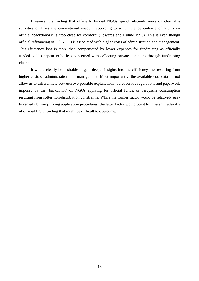Likewise, the finding that officially funded NGOs spend relatively more on charitable activities qualifies the conventional wisdom according to which the dependence of NGOs on official 'backdonors' is "too close for comfort" (Edwards and Hulme 1996). This is even though official refinancing of US NGOs is associated with higher costs of administration and management. This efficiency loss is more than compensated by lower expenses for fundraising as officially funded NGOs appear to be less concerned with collecting private donations through fundraising efforts.

It would clearly be desirable to gain deeper insights into the efficiency loss resulting from higher costs of administration and management. Most importantly, the available cost data do not allow us to differentiate between two possible explanations: bureaucratic regulations and paperwork imposed by the 'backdonor' on NGOs applying for official funds, or perquisite consumption resulting from softer non-distribution constraints. While the former factor would be relatively easy to remedy by simplifying application procedures, the latter factor would point to inherent trade-offs of official NGO funding that might be difficult to overcome.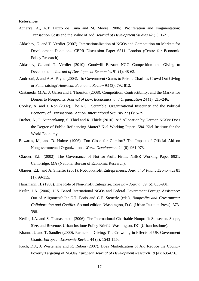#### **References**

- Acharya, A., A.T. Fuzzo de Lima and M. Moore (2006). Proliferation and Fragmentation: Transaction Costs and the Value of Aid. *Journal of Development Studies* 42 (1): 1-21.
- Aldashev, G. and T. Verdier (2007). Internationalization of NGOs and Competition on Markets for Development Donations. CEPR Discussion Paper 6511. London (Centre for Economic Policy Research).
- Aldashev, G. and T. Verdier (2010). Goodwill Bazaar: NGO Competition and Giving to Development. *Journal of Development Economics* 91 (1): 48-63.
- Andreoni, J. and A.A. Payne (2003). Do Government Grants to Private Charities Crowd Out Giving or Fund-raising? *American Economic Review* 93 (3): 792-812.
- Castaneda, M.A., J. Garen and J. Thornton (2008). Competition, Contractibility, and the Market for Donors to Nonprofits. *Journal of Law, Economics, and Organization* 24 (1): 215-246.
- Cooley, A. and J. Ron (2002). The NGO Scramble: Organizational Insecurity and the Political Economy of Transnational Action. *International Security* 27 (1): 5-39.
- Dreher, A., P. Nunnenkamp, S. Thiel and R. Thiele (2010). Aid Allocation by German NGOs: Does the Degree of Public Refinancing Matter? Kiel Working Paper 1584. Kiel Institute for the World Economy.
- Edwards, M., and D. Hulme (1996). Too Close for Comfort? The Impact of Official Aid on Nongovernmental Organizations. *World Development* 24 (6): 961-973.
- Glaeser, E.L. (2002). The Governance of Not-for-Profit Firms. NBER Working Paper 8921. Cambridge, MA (National Bureau of Economic Research).
- Glaeser, E.L. and A. Shleifer (2001). Not-for-Profit Entrepreneurs. *Journal of Public Economics* 81 (1): 99-115.
- Hansmann, H. (1980). The Role of Non-Profit Enterprise. *Yale Law Journal* 89 (5): 835-901.
- Kerlin, J.A. (2006). U.S. Based International NGOs and Federal Government Foreign Assistance: Out of Alignment? In: E.T. Boris and C.E. Steuerle (eds.), *Nonprofits and Government: Collaboration and Conflict.* Second edition. Washington, D.C. (Urban Institute Press): 373- 398.
- Kerlin, J.A. and S. Thanasombat (2006). The International Charitable Nonprofit Subsector. Scope, Size, and Revenue. Urban Institute Policy Brief 2. Washington, DC (Urban Institute).
- Khanna, J. and T. Sandler (2000). Partners in Giving: The Crowding-in Effects of UK Government Grants. *European Economic Review* 44 (8): 1543-1556.
- Koch, D.J., J. Westeneng and R. Ruben (2007). Does Marketization of Aid Reduce the Country Poverty Targeting of NGOs? *European Journal of Development Research* 19 (4): 635-656.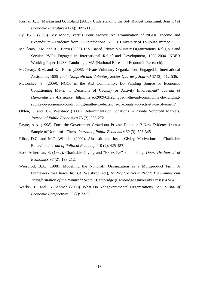- Kornai, J., E. Maskin and G. Roland (2003). Understanding the Soft Budget Constraint. *Journal of Economic Literature* 41 (4): 1095-1136.
- Ly, P.-E. (2006). My Money versus Your Money: An Examination of NGOs' Income and Expenditure – Evidence from UK International NGOs. University of Toulouse, mimeo.
- McCleary, R.M. and R.J. Barro (2006). U.S.-Based Private Voluntary Organizations: Religious and Secular PVOs Engaged in International Relief and Development, 1939-2004. NBER Working Paper 12238. Cambridge, MA (National Bureau of Economic Research).
- McCleary, R.M. and R.J. Barro (2008). Private Voluntary Organizations Engaged in International Assistance, 1939-2004. *Nonprofit and Voluntary Sector Quarterly Journal* 37 (3): 512-536.
- McCoskey, S. (2009). NGOs in the Aid Community: Do Funding Source or Economic Conditioning Matter to Decisions of Country or Activity Involvement? *Journal of Humanitarian Assistance.* http://jha.ac/2009/02/23/ngos-in-the-aid-community-do-fundingsource-or-economic-conditioning-matter-to-decisions-of-country-or-activity-involvement/
- Okten, C. and B.A. Weisbrod (2000). Determinants of Donations in Private Nonprofit Markets. *Journal of Public Economics* 75 (2): 255-272.
- Payne, A.A. (1998). Does the Government Crowd-out Private Donations? New Evidence from a Sample of Non-profit Firms. *Journal of Public Economics* 69 (3): 323-345.
- Ribar, D.C. and M.O. Wilhelm (2002). Altruistic and Joy-of-Giving Motivations in Charitable Behavior. *Journal of Political Economy* 110 (2): 425-457.
- Rose-Ackerman, S. (1982). Charitable Giving and "Excessive" Fundraising. *Quarterly Journal of Economics* 97 (2): 193-212.
- Weisbrod, B.A. (1998). Modelling the Nonprofit Organization as a Multiproduct Firm: A Framework for Choice. In: B.A. Weisbrod (ed.), *To Profit or Not to Profit: The Commercial Transformation of the Nonprofit Sector.* Cambridge (Cambridge University Press): 47-64.
- Werker, E., and F.Z. Ahmed (2008). What Do Nongovernmental Organizations Do? *Journal of Economic Perspectives* 22 (2): 73-92.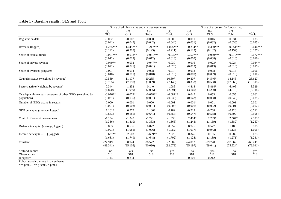#### Table 1 - Baseline results: OLS and Tobit

|                                                           |                    |                     | Share of administrative and management costs |             | Share of expenses for fundraising |                     |             |             |
|-----------------------------------------------------------|--------------------|---------------------|----------------------------------------------|-------------|-----------------------------------|---------------------|-------------|-------------|
|                                                           | (1)                | (2)                 | (3)                                          | (4)         | (5)                               | (6)                 | (7)         | (8)         |
|                                                           | <b>OLS</b>         | <b>OLS</b>          | Tobit                                        | Tobit       | <b>OLS</b>                        | <b>OLS</b>          | Tobit       | Tobit       |
| Registration date                                         | $-0.002$           | $-0.007$            | $-0.000$                                     | $-0.005$    | 0.011                             | 0.016               | 0.031       | 0.033       |
|                                                           | (0.041)            | (0.045)             | (0.042)                                      | (0.044)     | (0.031)                           | (0.032)             | (0.036)     | (0.035)     |
| Revenue (logged)                                          | $-1.235***$        | $-1.045***$         | $-1.217***$                                  | $-1.025***$ | $0.294**$                         | $0.380***$          | $0.551***$  | $0.644***$  |
|                                                           | (0.192)            | (0.218)             | (0.195)                                      | (0.211)     | (0.123)                           | (0.132)             | (0.152)     | (0.157)     |
| Share of official funds                                   | $0.051***$         | $0.032**$           | $0.051***$                                   | $0.032**$   | $-0.052***$                       | $-0.059***$         | $-0.070***$ | $-0.077***$ |
|                                                           | (0.012)            | (0.013)             | (0.012)                                      | (0.013)     | (0.007)                           | (0.008)             | (0.010)     | (0.010)     |
| Share of private revenue                                  | $0.049**$          | 0.032               | $0.047**$                                    | 0.030       | $-0.016$                          | $-0.023*$           | $-0.024$    | $-0.034**$  |
|                                                           | (0.021)            | (0.021)             | (0.021)                                      | (0.020)     | (0.013)                           | (0.013)             | (0.016)     | (0.015)     |
| Share of overseas programs                                | $-0.007$           | $-0.014$            | $-0.008$                                     | $-0.014$    | $-0.012$                          | $-0.008$            | $-0.013$    | $-0.006$    |
|                                                           | (0.010)            | (0.011)             | (0.010)                                      | (0.010)     | (0.009)                           | (0.009)             | (0.010)     | (0.010)     |
| Countries active (weighted by revenue)                    | $-10.589$          | $-11.177$           | $-10.235$                                    | $-10.807$   | $-10.307$                         | $-14.546*$          | $-18.146$   | $-23.627$   |
|                                                           | (6.765)            | (7.098)             | (7.059)                                      | (7.145)     | (8.333)                           | (8.538)             | (17.063)    | (18.315)    |
| Sectors active (weighted by revenue)                      | 0.344              | 1.232               | 0.140                                        | 1.086       | 4.418                             | 5.814*              | 6.406       | 8.329       |
|                                                           | (1.890)            | (1.999)             | (2.085)                                      | (2.091)     | (3.160)                           | (3.290)             | (4.810)     | (5.118)     |
| Overlap with overseas programs of other NGOs (weighted by | $-0.076**$         | $-0.079**$          | $-0.078**$                                   | $-0.081**$  | 0.047                             | 0.053               | 0.055       | 0.062       |
| population)                                               | (0.031)            | (0.035)             | (0.031)                                      | (0.033)     | (0.042)                           | (0.038)             | (0.045)     | (0.039)     |
| Number of NGOs active in sectors                          | 0.000              | $-0.001$            | 0.000                                        | $-0.001$    | $-0.001*$                         | 0.001               | $-0.001$    | 0.001       |
|                                                           | (0.001)            | (0.003)             | (0.001)                                      | (0.003)     | (0.001)                           | (0.002)             | (0.001)     | (0.002)     |
| GDP per capita (average; logged)                          | $1.101*$           | 0.775               | $1.100*$                                     | 0.789       | $-0.729$                          | $-0.768$            | $-0.720$    | $-0.711$    |
|                                                           | (0.633)            | (0.681)             | (0.641)                                      | (0.658)     | (0.547)                           | (0.558)             | (0.609)     | (0.598)     |
| Control of corruption (average)                           | $-1.134$           | $-1.247$            | $-1.221$                                     | $-1.336$    | $2.414*$                          | 2.289*              | $2.567*$    | $2.373*$    |
|                                                           | (1.336)            | (1.410)             | (1.353)                                      | (1.365)     | (1.243)                           | (1.169)             | (1.389)     | (1.257)     |
| Distance to capital (average; logged)                     | 0.853              | 0.536               | 0.872                                        | 0.557       | 0.925                             | 0.577               | 1.105       | 0.705       |
|                                                           | (0.991)            | (1.086)             | (1.006)                                      | (1.052)     | (1.017)                           | (0.942)             | (1.136)     | (1.005)     |
| Income per capita – HQ (logged)                           | $3.627**$          | 2.503               | $3.669**$                                    | 2.525       | 0.345                             | 0.185               | 0.282       | 0.073       |
|                                                           | (1.631)            | (1.749)             | (1.648)                                      | (1.702)     | (1.128)                           | (1.139)             | (1.271)     | (1.231)     |
| Constant                                                  | $-24.919$          | 0.924               | $-28.572$                                    | $-2.582$    | $-24.012$                         | $-29.728$           | $-67.962$   | $-68.249$   |
|                                                           | (89.341)           | (95.105)            | (90.090)                                     | (92.072)    | (65.197)                          | (69.041)            | (75.524)    | (76.041)    |
| Sector dummies<br>Observations<br>R-squared               | no<br>518<br>0.144 | yes<br>518<br>0.234 | no<br>518                                    | yes<br>518  | no<br>518<br>0.101                | yes<br>518<br>0.212 | no<br>518   | yes<br>518  |

Robust standard errors in parentheses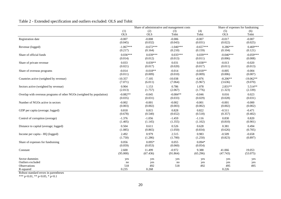| Table 2 - Extended specification and outliers excluded: OLS and Tobit |  |  |  |  |
|-----------------------------------------------------------------------|--|--|--|--|
|-----------------------------------------------------------------------|--|--|--|--|

|                                                                       |                           | Share of administrative and management costs | Share of expenses for fundraising |                     |                            |                   |
|-----------------------------------------------------------------------|---------------------------|----------------------------------------------|-----------------------------------|---------------------|----------------------------|-------------------|
|                                                                       | (1)                       | (2)                                          | (3)                               | (4)                 | (5)                        | (6)               |
|                                                                       | <b>OLS</b>                | <b>OLS</b>                                   | Tobit                             | Tobit               | <b>OLS</b>                 | Tobit             |
| Registration date                                                     | $-0.007$                  | $-0.008$                                     | $-0.006$                          | $-0.007$            | $-0.017$                   | $-0.007$          |
|                                                                       | (0.045)                   | (0.032)                                      | (0.043)                           | (0.031)             | (0.022)                    | (0.025)           |
| Revenue (logged)                                                      | $-1.067***$               | $-0.672***$                                  | $-1.046***$                       | $-0.657***$         | $0.286***$                 | $0.469***$        |
|                                                                       | (0.217)                   | (0.164)                                      | (0.210)                           | (0.159)             | (0.104)                    | (0.121)           |
| Share of official funds                                               | $0.036***$                | $0.039***$                                   | $0.035***$                        | $0.039***$          | $-0.046***$                | $-0.059***$       |
|                                                                       | (0.014)                   | (0.012)                                      | (0.013)                           | (0.011)             | (0.006)                    | (0.008)           |
| Share of private revenue                                              | 0.033                     | $0.039**$                                    | 0.031                             | $0.038**$           | $-0.013$                   | $-0.020$          |
|                                                                       | (0.021)                   | (0.017)                                      | (0.020)                           | (0.017)             | (0.011)                    | (0.013)           |
| Share of overseas programs                                            | $-0.014$                  | $-0.018**$                                   | $-0.014$                          | $-0.018**$          | $-0.005$                   | $-0.004$          |
|                                                                       | (0.011)                   | (0.009)                                      | (0.010)                           | (0.009)             | (0.006)                    | (0.007)           |
| Countries active (weighted by revenue)                                | $-10.357$                 | $-7.105$                                     | $-10.038$                         | $-6.876$            | $-8.206**$                 | $-19.062**$       |
|                                                                       | (7.071)                   | (6.011)                                      | (7.064)                           | (5.967)             | (3.636)                    | (9.070)           |
| Sectors active (weighted by revenue)                                  | 0.904                     | 1.153                                        | 0.786                             | 1.078               | $2.831**$                  | $5.514**$         |
|                                                                       | (2.013)                   | (1.757)                                      | (2.067)                           | (1.776)             | (1.323)                    | (2.339)           |
| Overlap with overseas programs of other NGOs (weighted by population) | $-0.082**$                | $-0.045$                                     | $-0.084**$                        | $-0.046$            | 0.016                      | 0.023             |
|                                                                       | (0.035)                   | (0.031)                                      | (0.033)                           | (0.029)             | (0.028)                    | (0.031)           |
| Number of NGOs active in sectors                                      | $-0.002$                  | $-0.001$                                     | $-0.002$                          | $-0.001$            | $-0.001$                   | $-0.000$          |
|                                                                       | (0.003)                   | (0.002)                                      | (0.003)                           | (0.002)             | (0.002)                    | (0.002)           |
| GDP per capita (average; logged)                                      | 0.818                     | 0.815                                        | 0.828                             | 0.822               | $-0.511$                   | $-0.471$          |
|                                                                       | (0.678)                   | (0.540)                                      | (0.652)                           | (0.518)             | (0.357)                    | (0.402)           |
| Control of corruption (average)                                       | $-1.376$                  | $-1.056$                                     | $-1.459$                          | $-1.116$            | 0.830                      | 0.820             |
|                                                                       | (1.405)                   | (1.145)                                      | (1.355)                           | (1.102)             | (0.810)                    | (0.901)           |
| Distance to capital (average; logged)                                 | 0.504                     | 0.611                                        | 0.526                             | 0.628               | 0.381                      | 0.494             |
|                                                                       | (1.085)                   | (0.865)                                      | (1.050)                           | (0.834)             | (0.626)                    | (0.705)           |
| Income per capita - HQ (logged)                                       | 2.492                     | 0.979                                        | 2.515                             | 0.983               | $-0.509$                   | $-0.658$          |
|                                                                       | (1.750)                   | (1.286)                                      | (1.700)                           | (1.250)             | (0.823)                    | (0.897)           |
| Share of expenses for fundraising                                     | 0.056<br>(0.059)          | $0.095*$<br>(0.053)                          | 0.055<br>(0.060)                  | $0.094*$<br>(0.054) |                            |                   |
| Constant                                                              | 2.600                     | 11.499                                       | $-0.972$                          | 9.388               | 41.066                     | 19.053            |
|                                                                       | (95.000)                  | (67.436)                                     | (91.864)                          | (65.296)            | (47.743)                   | (53.075)          |
| Sector dummies<br>Outliers excluded<br>Observations<br>R-squared      | yes<br>no<br>518<br>0.235 | yes<br>yes<br>492<br>0.268                   | yes<br>no<br>518                  | yes<br>yes<br>492   | yes<br>yes<br>495<br>0.226 | yes<br>yes<br>495 |

Robust standard errors in parentheses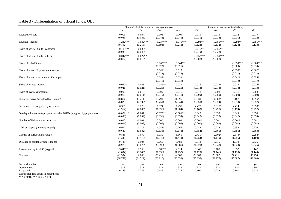#### Table 3 - Differentiation of official funds: OLS

|                                                                       |                       |                      | Share of administrative and management costs |                      | Share of expenses for fundraising |                        |                        |                        |  |  |
|-----------------------------------------------------------------------|-----------------------|----------------------|----------------------------------------------|----------------------|-----------------------------------|------------------------|------------------------|------------------------|--|--|
|                                                                       | (1)                   | (2)                  | (3)                                          | (4)                  | (5)                               | (6)                    | (7)                    | (8)                    |  |  |
| Registration date                                                     | $-0.003$              | $-0.007$             | $-0.001$                                     | $-0.004$             | 0.011                             | 0.016                  | 0.012                  | 0.019                  |  |  |
|                                                                       | (0.041)               | (0.045)              | (0.042)                                      | (0.045)              | (0.031)                           | (0.032)                | (0.031)                | (0.032)                |  |  |
| Revenue (logged)                                                      | $-1.232***$           | $-1.042***$          | $-1.237***$                                  | $-1.045***$          | $0.294**$                         | $0.380***$             | $0.294**$              | $0.385***$             |  |  |
|                                                                       | (0.192)               | (0.218)              | (0.193)                                      | (0.218)              | (0.123)                           | (0.132)                | (0.124)                | (0.133)                |  |  |
| Share of official funds - contracts                                   | $0.118***$<br>(0.039) | $0.080*$<br>(0.046)  |                                              |                      | $-0.045**$<br>(0.019)             | $-0.055**$<br>(0.022)  |                        |                        |  |  |
| Share of official funds - others                                      | $0.044***$<br>(0.012) | $0.027**$<br>(0.013) |                                              |                      | $-0.053***$<br>(0.008)            | $-0.059***$<br>(0.008) |                        |                        |  |  |
| Share of USAID funds                                                  |                       |                      | $0.063***$<br>(0.020)                        | $0.044**$<br>(0.021) |                                   |                        | $-0.059***$<br>(0.009) | $-0.060***$<br>(0.010) |  |  |
| Share of other US government support                                  |                       |                      | $0.044**$<br>(0.022)                         | 0.017<br>(0.022)     |                                   |                        | $-0.053***$<br>(0.011) | $-0.062***$<br>(0.013) |  |  |
| Share of other government or IO support                               |                       |                      | $0.047**$<br>(0.019)                         | 0.034<br>(0.020)     |                                   |                        | $-0.041***$<br>(0.012) | $-0.055***$<br>(0.013) |  |  |
| Share of private revenue                                              | $0.050**$             | 0.033                | $0.049**$                                    | 0.031                | $-0.016$                          | $-0.023*$              | $-0.015$               | $-0.024*$              |  |  |
|                                                                       | (0.021)               | (0.021)              | (0.021)                                      | (0.021)              | (0.013)                           | (0.013)                | (0.013)                | (0.013)                |  |  |
| Share of overseas programs                                            | $-0.005$              | $-0.013$             | $-0.009$                                     | $-0.016$             | $-0.012$                          | $-0.008$               | $-0.011$               | $-0.008$               |  |  |
|                                                                       | (0.010)               | (0.011)              | (0.010)                                      | (0.011)              | (0.009)                           | (0.009)                | (0.009)                | (0.009)                |  |  |
| Countries active (weighted by revenue)                                | $-10.814$             | $-11.411$            | $-10.791$                                    | $-11.395$            | $-10.330$                         | $-14.563*$             | $-10.187$              | $-14.596*$             |  |  |
|                                                                       | (6.826)               | (7.109)              | (6.759)                                      | (7.044)              | (8.350)                           | (8.554)                | (8.333)                | (8.557)                |  |  |
| Sectors active (weighted by revenue)                                  | 0.365                 | 1.278                | 0.374                                        | 1.299                | 4.420                             | 5.818*                 | 4.414                  | 5.858*                 |  |  |
|                                                                       | (1.912)               | (2.009)              | (1.896)                                      | (1.984)              | (3.163)                           | (3.295)                | (3.174)                | (3.297)                |  |  |
| Overlap with overseas programs of other NGOs (weighted by population) | $-0.079***$           | $-0.081**$           | $-0.079**$                                   | $-0.081**$           | 0.047                             | 0.053                  | 0.049                  | 0.054                  |  |  |
|                                                                       | (0.030)               | (0.034)              | (0.031)                                      | (0.034)              | (0.042)                           | (0.038)                | (0.042)                | (0.038)                |  |  |
| Number of NGOs active in sectors                                      | 0.000                 | $-0.001$             | 0.000                                        | $-0.002$             | $-0.001*$                         | 0.001                  | $-0.001*$              | 0.001                  |  |  |
|                                                                       | (0.001)               | (0.003)              | (0.001)                                      | (0.003)              | (0.001)                           | (0.002)                | (0.001)                | (0.002)                |  |  |
| GDP per capita (average; logged)                                      | 0.977                 | 0.712                | $1.048*$                                     | 0.766                | $-0.742$                          | $-0.772$               | $-0.659$               | $-0.726$               |  |  |
|                                                                       | (0.640)               | (0.682)              | (0.636)                                      | (0.678)              | (0.554)                           | (0.560)                | (0.556)                | (0.563)                |  |  |
| Control of corruption (average)                                       | $-0.885$              | $-1.070$             | $-1.030$                                     | $-1.160$             | 2.439*                            | $2.302*$               | 2.348*                 | $2.254*$               |  |  |
|                                                                       | (1.349)               | (1.418)              | (1.346)                                      | (1.414)              | (1.254)                           | (1.179)                | (1.255)                | (1.180)                |  |  |
| Distance to capital (average; logged)                                 | 0.785                 | 0.504                | 0.765                                        | 0.489                | 0.918                             | 0.575                  | 1.010                  | 0.636                  |  |  |
|                                                                       | (0.975)               | (1.073)              | (0.995)                                      | (1.086)              | (1.020)                           | (0.943)                | (1.023)                | (0.946)                |  |  |
| Income per capita - HQ (logged)                                       | $3.646**$             | 2.559                | 3.589**                                      | 2.514                | 0.347                             | 0.189                  | 0.332                  | 0.147                  |  |  |
|                                                                       | (1.634)               | (1.743)              | (1.636)                                      | (1.752)              | (1.129)                           | (1.141)                | (1.133)                | (1.140)                |  |  |
| Constant                                                              | $-21.584$             | 2.669                | $-25.211$                                    | $-2.568$             | $-23.669$                         | $-29.602$              | $-27.411$              | $-35.794$              |  |  |
|                                                                       | (88.751)              | (94.722)             | (90.110)                                     | (96.038)             | (65.358)                          | (69.175)               | (65.687)               | (69.360)               |  |  |
| Sector dummies                                                        | no                    | yes                  | no                                           | yes                  | no                                | yes                    | no                     | yes                    |  |  |
| Observations                                                          | 518                   | 518                  | 518                                          | 518                  | 518                               | 518                    | 518                    | 518                    |  |  |
| R-squared                                                             | 0.149                 | 0.236                | 0.146                                        | 0.235                | 0.101                             | 0.212                  | 0.101                  | 0.212                  |  |  |

Robust standard errors in parentheses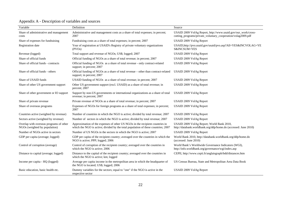| Variable                                                                 | Definition                                                                                                                                                        | Source                                                                                                                        |
|--------------------------------------------------------------------------|-------------------------------------------------------------------------------------------------------------------------------------------------------------------|-------------------------------------------------------------------------------------------------------------------------------|
| Share of administrative and management<br>costs                          | Administrative and management costs as a share of total expenses; in percent;<br>2007                                                                             | USAID 2009 VolAg Report, http://www.usaid.gov/our_work/cross-<br>cutting_programs/private_voluntary_cooperation/volag2009.pdf |
| Share of expenses for fundraising                                        | Fundraising costs as a share of total expenses; in percent; 2007                                                                                                  | USAID 2009 VolAg Report                                                                                                       |
| Registration date                                                        | Year of registration at USAID's Registry of private voluntary organizations<br>(PVOs)                                                                             | USAID, http://pvo.usaid.gov/usaid/pvo.asp?All=YES&INCVOLAG=YE<br>S&INCSUM=YES                                                 |
| Revenue (logged)                                                         | Total support and revenue of NGOs; US\$; logged; 2007                                                                                                             | USAID 2009 VolAg Report                                                                                                       |
| Share of official funds                                                  | Official funding of NGOs as a share of total revenue; in percent; 2007                                                                                            | USAID 2009 VolAg Report                                                                                                       |
| Share of official funds - contracts                                      | Official funding of NGOs as a share of total revenue - only contract-related<br>support; in percent; 2007                                                         | USAID 2009 VolAg Report                                                                                                       |
| Share of official funds - others                                         | Official funding of NGOs as a share of total revenue - other than contract-related<br>support; in percent; 2007                                                   | USAID 2009 VolAg Report                                                                                                       |
| Share of USAID funds                                                     | USAID funding of NGOs as a share of total revenue; in percent; 2007                                                                                               | USAID 2009 VolAg Report                                                                                                       |
| Share of other US government support                                     | Other US government support (excl. USAID) as a share of total revenue; in<br>percent; 2007                                                                        | USAID 2009 VolAg Report                                                                                                       |
| Share of other government or IO support                                  | Support by non-US governments or international organizations as a share of total<br>revenue; in percent; 2007                                                     | USAID 2009 VolAg Report                                                                                                       |
| Share of private revenue                                                 | Private revenue of NGOs as a share of total revenue; in percent; 2007                                                                                             | USAID 2009 VolAg Report                                                                                                       |
| Share of overseas programs                                               | Expenses of NGOs for foreign programs as a share of total expenses; in percent;<br>2007                                                                           | USAID 2009 VolAg Report                                                                                                       |
| Countries active (weighted by revenue)                                   | Number of countries in which the NGO is active; divided by total revenue; 2007                                                                                    | USAID 2009 VolAg Report                                                                                                       |
| Sectors active (weighted by revenue)                                     | Number of sectors in which the NGO is active; divided by total revenue; 2007                                                                                      | USAID 2009 VolAg Report                                                                                                       |
| Overlap with overseas programs of other<br>NGOs (weighted by population) | Approximation of the expenses of other US NGOs in the recipient countries in<br>which the NGO is active; divided by the total population of these countries; 2007 | USAID 2009 VolAg Report; World Bank 2010,<br>http://databank.worldbank.org/ddp/home.do (accessed: June 2010)                  |
| Number of NGOs active in sectors                                         | Number of US NGOs in the sectors in which the NGO is active; 2007                                                                                                 | USAID 2009 VolAg Report                                                                                                       |
| GDP per capita (average; logged)                                         | GDP per capita of the recipient country; averaged over the countries in which the<br>NGO is active; PPP; logged; 2006                                             | World Bank 2010, http://databank.worldbank.org/ddp/home.do<br>(accessed: June 2010)                                           |
| Control of corruption (average)                                          | Control of corruption of the recipient country; averaged over the countries in<br>which the NGO is active; 2006                                                   | World Bank's Worldwide Governance Indicators (WGI),<br>http://info.worldbank.org/governance/wgi/index.asp                     |
| Distance to capital (average; logged)                                    | Distance to the capital of the recipient country; averaged over the countries in<br>which the NGO is active; km; logged                                           | CEPII, http://www.cepii.fr/anglaisgraph/bdd/distances.htm                                                                     |
| Income per capita - HQ (logged)                                          | Average per capita income in the metropolitan area in which the headquarter of<br>the NGO is located; US\$; logged; 2006                                          | US Census Bureau, State and Metropolitan Area Data Book                                                                       |
| Basic education, basic health etc.                                       | Dummy variables for the sectors; equal to "one" if the NGO is active in the<br>respective sector                                                                  | USAID 2009 VolAg Report                                                                                                       |

# Appendix A - Description of variables and sources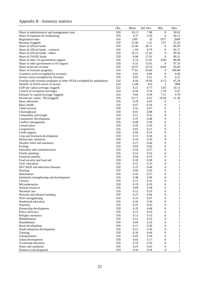# Appendix B - Summary statistics

| 559<br>7.98<br>$\boldsymbol{0}$<br>10.13<br>50.61<br>Share of administrative and management costs<br>559<br>Share of expenses for fundraising<br>4.37<br>5.50<br>$\boldsymbol{0}$<br>40.11<br>2009<br>Registration date<br>543<br>1997<br>10<br>1977<br>Revenue (logged)<br>559<br>2.33<br>7.67<br>21.63<br>15.40<br>Share of official funds<br>559<br>28.71<br>99.59<br>21.06<br>$\mathbf{0}$<br>559<br>8.79<br>Share of official funds - contracts<br>1.93<br>$\boldsymbol{0}$<br>82.27<br>$\mathbf{0}$<br>99.59<br>Share of official funds - others<br>559<br>19.13<br>27.02<br>Share of USAID funds<br>559<br>8.06<br>17.81<br>$\mathbf{0}$<br>99.31<br>559<br>Share of other US government support<br>6.14<br>15.65<br>0.00<br>86.08<br>Share of other government or IO support<br>559<br>6.31<br>15.01<br>$\mathbf{0}$<br>97.19<br>95.60<br>Share of private revenue<br>559<br>10.97<br>19.53<br>$-0.69$<br>Share of overseas programs<br>559<br>77.61<br>33.60<br>100.00<br>$\mathbf{0}$<br>Countries active (weighted by revenue)<br>559<br>0.01<br>0.06<br>$\boldsymbol{0}$<br>0.94<br>Sectors active (weighted by revenue)<br>559<br>0.03<br>0.21<br>$\mathbf{0}$<br>4.22<br>Overlap with overseas programs of other NGOs (weighted by population)<br>524<br>6.94<br>65.24<br>10.69<br>0.13<br>524<br>1984<br>Number of NGOs active in sectors<br>1146<br>416<br>$\mathbf{1}$<br>522<br>5.63<br>8.21<br>0.77<br>10.13<br>GDP per capita (average; logged)<br>524<br>Control of corruption (average)<br>$-0.59$<br>0.34<br>$-1.59$<br>0.97<br>524<br>7.51<br>Distance to capital (average; logged)<br>9.05<br>0.39<br>9.70<br>Income per capita - HQ (logged)<br>539<br>10.71<br>0.22<br>10.04<br>11.36<br>Basic education<br>559<br>0.29<br>0.45<br>$\boldsymbol{0}$<br>$\mathbf{1}$<br>559<br>0.47<br>0.50<br>$\boldsymbol{0}$<br>$\mathbf{1}$<br>Basic health<br>559<br>0.32<br>0.47<br>$\boldsymbol{0}$<br>$\mathbf{1}$<br>Child survival<br>$\boldsymbol{0}$<br>559<br>0.01<br>0.08<br>$\mathbf{1}$<br>Clearinghouse<br>$\boldsymbol{0}$<br>Commodity and freight<br>559<br>0.11<br>0.32<br>$\mathbf{1}$<br>$\boldsymbol{0}$<br>Community development<br>559<br>0.37<br>$\mathbf{1}$<br>0.48<br>$\boldsymbol{0}$<br>$\mathbf{1}$<br>559<br>0.08<br>0.28<br>Conflict management<br>559<br>$\boldsymbol{0}$<br>Conservation<br>0.10<br>0.30<br>$\mathbf{1}$<br>$\boldsymbol{0}$<br>Cooperatives<br>559<br>0.05<br>0.21<br>$\mathbf{1}$<br>559<br>0.04<br>0.19<br>$\boldsymbol{0}$<br>$\mathbf{1}$<br>Credit support<br>Crop and livestock development<br>559<br>0.15<br>0.36<br>$\boldsymbol{0}$<br>$\mathbf{1}$<br>$\boldsymbol{0}$<br>Democratic initiatives<br>559<br>0.10<br>0.30<br>$\mathbf{1}$<br>$\mathbf{0}$<br>559<br>0.27<br>0.44<br>$\mathbf{1}$<br>Disaster relief and assistance<br>$\mathbf{0}$<br>$\mathbf{1}$<br>559<br>0.04<br>0.20<br>Ecology<br>$\boldsymbol{0}$<br>Education and communication<br>559<br>0.37<br>$\mathbf{1}$<br>0.16<br>$\boldsymbol{0}$<br>Family planning<br>559<br>0.12<br>0.32<br>$\mathbf{1}$<br>Financial markets<br>559<br>0.19<br>$\boldsymbol{0}$<br>$\mathbf{1}$<br>0.04<br>$\boldsymbol{0}$<br>$\mathbf{1}$<br>Food security and food aid<br>559<br>0.18<br>0.38<br>$\boldsymbol{0}$<br>Girls' education<br>559<br>0.12<br>0.33<br>$\mathbf{1}$<br>HIV/AIDS and infectious diseases<br>559<br>0.37<br>$\boldsymbol{0}$<br>$\mathbf{1}$<br>0.48<br>559<br>0.09<br>0.29<br>$\boldsymbol{0}$<br>$\mathbf{1}$<br>Housing<br>0.37<br>$\boldsymbol{0}$<br>559<br>0.16<br>$\mathbf{1}$<br>Information<br>Institution strengthening and development<br>559<br>0.38<br>0.49<br>$\boldsymbol{0}$<br>1<br>0.31<br>$\boldsymbol{0}$<br>Literacy<br>559<br>0.11<br>$\mathbf{1}$<br>Microenterprise<br>559<br>0.19<br>0.39<br>$\boldsymbol{0}$<br>$\mathbf{1}$<br>559<br>Natural resources<br>0.09<br>0.28<br>$\boldsymbol{0}$<br>$\mathbf{1}$<br>559<br>$\boldsymbol{0}$<br>Neonatal care<br>0.12<br>0.33<br>$\mathbf{1}$<br>559<br>Network and alliance building<br>0.27<br>$\mathbf{0}$<br>$\mathbf{1}$<br>0.44<br>559<br>0.33<br>0.47<br>$\boldsymbol{0}$<br>$\mathbf{1}$<br>NGO strengthening<br>559<br>0.10<br>$\boldsymbol{0}$<br>Nonformal education<br>0.30<br>$\mathbf{1}$<br>$\boldsymbol{0}$<br>Nutrition<br>559<br>0.25<br>0.43<br>$\mathbf{1}$<br>559<br>Partnership development<br>0.35<br>0.48<br>$\mathbf{0}$<br>$\mathbf{1}$<br>Policy advocacy<br>559<br>0.12<br>0.33<br>$\boldsymbol{0}$<br>$\mathbf{1}$<br>Refugee assistance<br>559<br>0.13<br>$\boldsymbol{0}$<br>0.33<br>$\mathbf{1}$<br>$\boldsymbol{0}$<br>Rehabilitation<br>559<br>0.11<br>0.32<br>$\mathbf{1}$<br>Resettlement<br>559<br>0.04<br>0.19<br>$\boldsymbol{0}$<br>$\mathbf{1}$<br>559<br>Rural development<br>0.17<br>0.38<br>$\mathbf{0}$<br>$\mathbf{1}$<br>$\boldsymbol{0}$<br>Small enterprise development<br>559<br>0.15<br>0.36<br>$\mathbf{1}$<br>559<br>Training<br>0.39<br>0.49<br>$\mathbf{0}$<br>$\mathbf{1}$<br>Transportation<br>559<br>0.03<br>0.18<br>$\boldsymbol{0}$<br>$\mathbf{1}$<br>Urban development<br>559<br>$\boldsymbol{0}$<br>0.03<br>0.17<br>$\mathbf{1}$<br>Vocational education<br>559<br>0.19<br>0.39<br>$\boldsymbol{0}$<br>$\mathbf{1}$<br>559<br>Water and sanitation<br>0.25<br>0.43<br>$\boldsymbol{0}$<br>$\mathbf{1}$<br>559<br>0.18<br>0.39<br>$\boldsymbol{0}$<br>$\mathbf{1}$<br>Women in development | Obs. | Mean | Std. Dev. | Min | Max |
|--------------------------------------------------------------------------------------------------------------------------------------------------------------------------------------------------------------------------------------------------------------------------------------------------------------------------------------------------------------------------------------------------------------------------------------------------------------------------------------------------------------------------------------------------------------------------------------------------------------------------------------------------------------------------------------------------------------------------------------------------------------------------------------------------------------------------------------------------------------------------------------------------------------------------------------------------------------------------------------------------------------------------------------------------------------------------------------------------------------------------------------------------------------------------------------------------------------------------------------------------------------------------------------------------------------------------------------------------------------------------------------------------------------------------------------------------------------------------------------------------------------------------------------------------------------------------------------------------------------------------------------------------------------------------------------------------------------------------------------------------------------------------------------------------------------------------------------------------------------------------------------------------------------------------------------------------------------------------------------------------------------------------------------------------------------------------------------------------------------------------------------------------------------------------------------------------------------------------------------------------------------------------------------------------------------------------------------------------------------------------------------------------------------------------------------------------------------------------------------------------------------------------------------------------------------------------------------------------------------------------------------------------------------------------------------------------------------------------------------------------------------------------------------------------------------------------------------------------------------------------------------------------------------------------------------------------------------------------------------------------------------------------------------------------------------------------------------------------------------------------------------------------------------------------------------------------------------------------------------------------------------------------------------------------------------------------------------------------------------------------------------------------------------------------------------------------------------------------------------------------------------------------------------------------------------------------------------------------------------------------------------------------------------------------------------------------------------------------------------------------------------------------------------------------------------------------------------------------------------------------------------------------------------------------------------------------------------------------------------------------------------------------------------------------------------------------------------------------------------------------------------------------------------------------------------------------------------------------------------------------------------------------------------------------------------------------------------------------------------------------------------------------------------------------------------------------------------------------------------------------------------------------------------------------------------------------------------------------------------------------------------------------------------------------------------------------------------------------------------------------------------------------------------------------------------------------------------------------------------------------------------------------------------------------------------------------------------------------------------------------------------------------------------------------------------------------------------------------------------------------------------------------------------------------------------------------------------------------------------------------------------------------------------------------------------------------------------------------------------------------------------|------|------|-----------|-----|-----|
|                                                                                                                                                                                                                                                                                                                                                                                                                                                                                                                                                                                                                                                                                                                                                                                                                                                                                                                                                                                                                                                                                                                                                                                                                                                                                                                                                                                                                                                                                                                                                                                                                                                                                                                                                                                                                                                                                                                                                                                                                                                                                                                                                                                                                                                                                                                                                                                                                                                                                                                                                                                                                                                                                                                                                                                                                                                                                                                                                                                                                                                                                                                                                                                                                                                                                                                                                                                                                                                                                                                                                                                                                                                                                                                                                                                                                                                                                                                                                                                                                                                                                                                                                                                                                                                                                                                                                                                                                                                                                                                                                                                                                                                                                                                                                                                                                                                                                                                                                                                                                                                                                                                                                                                                                                                                                                                                                                                      |      |      |           |     |     |
|                                                                                                                                                                                                                                                                                                                                                                                                                                                                                                                                                                                                                                                                                                                                                                                                                                                                                                                                                                                                                                                                                                                                                                                                                                                                                                                                                                                                                                                                                                                                                                                                                                                                                                                                                                                                                                                                                                                                                                                                                                                                                                                                                                                                                                                                                                                                                                                                                                                                                                                                                                                                                                                                                                                                                                                                                                                                                                                                                                                                                                                                                                                                                                                                                                                                                                                                                                                                                                                                                                                                                                                                                                                                                                                                                                                                                                                                                                                                                                                                                                                                                                                                                                                                                                                                                                                                                                                                                                                                                                                                                                                                                                                                                                                                                                                                                                                                                                                                                                                                                                                                                                                                                                                                                                                                                                                                                                                      |      |      |           |     |     |
|                                                                                                                                                                                                                                                                                                                                                                                                                                                                                                                                                                                                                                                                                                                                                                                                                                                                                                                                                                                                                                                                                                                                                                                                                                                                                                                                                                                                                                                                                                                                                                                                                                                                                                                                                                                                                                                                                                                                                                                                                                                                                                                                                                                                                                                                                                                                                                                                                                                                                                                                                                                                                                                                                                                                                                                                                                                                                                                                                                                                                                                                                                                                                                                                                                                                                                                                                                                                                                                                                                                                                                                                                                                                                                                                                                                                                                                                                                                                                                                                                                                                                                                                                                                                                                                                                                                                                                                                                                                                                                                                                                                                                                                                                                                                                                                                                                                                                                                                                                                                                                                                                                                                                                                                                                                                                                                                                                                      |      |      |           |     |     |
|                                                                                                                                                                                                                                                                                                                                                                                                                                                                                                                                                                                                                                                                                                                                                                                                                                                                                                                                                                                                                                                                                                                                                                                                                                                                                                                                                                                                                                                                                                                                                                                                                                                                                                                                                                                                                                                                                                                                                                                                                                                                                                                                                                                                                                                                                                                                                                                                                                                                                                                                                                                                                                                                                                                                                                                                                                                                                                                                                                                                                                                                                                                                                                                                                                                                                                                                                                                                                                                                                                                                                                                                                                                                                                                                                                                                                                                                                                                                                                                                                                                                                                                                                                                                                                                                                                                                                                                                                                                                                                                                                                                                                                                                                                                                                                                                                                                                                                                                                                                                                                                                                                                                                                                                                                                                                                                                                                                      |      |      |           |     |     |
|                                                                                                                                                                                                                                                                                                                                                                                                                                                                                                                                                                                                                                                                                                                                                                                                                                                                                                                                                                                                                                                                                                                                                                                                                                                                                                                                                                                                                                                                                                                                                                                                                                                                                                                                                                                                                                                                                                                                                                                                                                                                                                                                                                                                                                                                                                                                                                                                                                                                                                                                                                                                                                                                                                                                                                                                                                                                                                                                                                                                                                                                                                                                                                                                                                                                                                                                                                                                                                                                                                                                                                                                                                                                                                                                                                                                                                                                                                                                                                                                                                                                                                                                                                                                                                                                                                                                                                                                                                                                                                                                                                                                                                                                                                                                                                                                                                                                                                                                                                                                                                                                                                                                                                                                                                                                                                                                                                                      |      |      |           |     |     |
|                                                                                                                                                                                                                                                                                                                                                                                                                                                                                                                                                                                                                                                                                                                                                                                                                                                                                                                                                                                                                                                                                                                                                                                                                                                                                                                                                                                                                                                                                                                                                                                                                                                                                                                                                                                                                                                                                                                                                                                                                                                                                                                                                                                                                                                                                                                                                                                                                                                                                                                                                                                                                                                                                                                                                                                                                                                                                                                                                                                                                                                                                                                                                                                                                                                                                                                                                                                                                                                                                                                                                                                                                                                                                                                                                                                                                                                                                                                                                                                                                                                                                                                                                                                                                                                                                                                                                                                                                                                                                                                                                                                                                                                                                                                                                                                                                                                                                                                                                                                                                                                                                                                                                                                                                                                                                                                                                                                      |      |      |           |     |     |
|                                                                                                                                                                                                                                                                                                                                                                                                                                                                                                                                                                                                                                                                                                                                                                                                                                                                                                                                                                                                                                                                                                                                                                                                                                                                                                                                                                                                                                                                                                                                                                                                                                                                                                                                                                                                                                                                                                                                                                                                                                                                                                                                                                                                                                                                                                                                                                                                                                                                                                                                                                                                                                                                                                                                                                                                                                                                                                                                                                                                                                                                                                                                                                                                                                                                                                                                                                                                                                                                                                                                                                                                                                                                                                                                                                                                                                                                                                                                                                                                                                                                                                                                                                                                                                                                                                                                                                                                                                                                                                                                                                                                                                                                                                                                                                                                                                                                                                                                                                                                                                                                                                                                                                                                                                                                                                                                                                                      |      |      |           |     |     |
|                                                                                                                                                                                                                                                                                                                                                                                                                                                                                                                                                                                                                                                                                                                                                                                                                                                                                                                                                                                                                                                                                                                                                                                                                                                                                                                                                                                                                                                                                                                                                                                                                                                                                                                                                                                                                                                                                                                                                                                                                                                                                                                                                                                                                                                                                                                                                                                                                                                                                                                                                                                                                                                                                                                                                                                                                                                                                                                                                                                                                                                                                                                                                                                                                                                                                                                                                                                                                                                                                                                                                                                                                                                                                                                                                                                                                                                                                                                                                                                                                                                                                                                                                                                                                                                                                                                                                                                                                                                                                                                                                                                                                                                                                                                                                                                                                                                                                                                                                                                                                                                                                                                                                                                                                                                                                                                                                                                      |      |      |           |     |     |
|                                                                                                                                                                                                                                                                                                                                                                                                                                                                                                                                                                                                                                                                                                                                                                                                                                                                                                                                                                                                                                                                                                                                                                                                                                                                                                                                                                                                                                                                                                                                                                                                                                                                                                                                                                                                                                                                                                                                                                                                                                                                                                                                                                                                                                                                                                                                                                                                                                                                                                                                                                                                                                                                                                                                                                                                                                                                                                                                                                                                                                                                                                                                                                                                                                                                                                                                                                                                                                                                                                                                                                                                                                                                                                                                                                                                                                                                                                                                                                                                                                                                                                                                                                                                                                                                                                                                                                                                                                                                                                                                                                                                                                                                                                                                                                                                                                                                                                                                                                                                                                                                                                                                                                                                                                                                                                                                                                                      |      |      |           |     |     |
|                                                                                                                                                                                                                                                                                                                                                                                                                                                                                                                                                                                                                                                                                                                                                                                                                                                                                                                                                                                                                                                                                                                                                                                                                                                                                                                                                                                                                                                                                                                                                                                                                                                                                                                                                                                                                                                                                                                                                                                                                                                                                                                                                                                                                                                                                                                                                                                                                                                                                                                                                                                                                                                                                                                                                                                                                                                                                                                                                                                                                                                                                                                                                                                                                                                                                                                                                                                                                                                                                                                                                                                                                                                                                                                                                                                                                                                                                                                                                                                                                                                                                                                                                                                                                                                                                                                                                                                                                                                                                                                                                                                                                                                                                                                                                                                                                                                                                                                                                                                                                                                                                                                                                                                                                                                                                                                                                                                      |      |      |           |     |     |
|                                                                                                                                                                                                                                                                                                                                                                                                                                                                                                                                                                                                                                                                                                                                                                                                                                                                                                                                                                                                                                                                                                                                                                                                                                                                                                                                                                                                                                                                                                                                                                                                                                                                                                                                                                                                                                                                                                                                                                                                                                                                                                                                                                                                                                                                                                                                                                                                                                                                                                                                                                                                                                                                                                                                                                                                                                                                                                                                                                                                                                                                                                                                                                                                                                                                                                                                                                                                                                                                                                                                                                                                                                                                                                                                                                                                                                                                                                                                                                                                                                                                                                                                                                                                                                                                                                                                                                                                                                                                                                                                                                                                                                                                                                                                                                                                                                                                                                                                                                                                                                                                                                                                                                                                                                                                                                                                                                                      |      |      |           |     |     |
|                                                                                                                                                                                                                                                                                                                                                                                                                                                                                                                                                                                                                                                                                                                                                                                                                                                                                                                                                                                                                                                                                                                                                                                                                                                                                                                                                                                                                                                                                                                                                                                                                                                                                                                                                                                                                                                                                                                                                                                                                                                                                                                                                                                                                                                                                                                                                                                                                                                                                                                                                                                                                                                                                                                                                                                                                                                                                                                                                                                                                                                                                                                                                                                                                                                                                                                                                                                                                                                                                                                                                                                                                                                                                                                                                                                                                                                                                                                                                                                                                                                                                                                                                                                                                                                                                                                                                                                                                                                                                                                                                                                                                                                                                                                                                                                                                                                                                                                                                                                                                                                                                                                                                                                                                                                                                                                                                                                      |      |      |           |     |     |
|                                                                                                                                                                                                                                                                                                                                                                                                                                                                                                                                                                                                                                                                                                                                                                                                                                                                                                                                                                                                                                                                                                                                                                                                                                                                                                                                                                                                                                                                                                                                                                                                                                                                                                                                                                                                                                                                                                                                                                                                                                                                                                                                                                                                                                                                                                                                                                                                                                                                                                                                                                                                                                                                                                                                                                                                                                                                                                                                                                                                                                                                                                                                                                                                                                                                                                                                                                                                                                                                                                                                                                                                                                                                                                                                                                                                                                                                                                                                                                                                                                                                                                                                                                                                                                                                                                                                                                                                                                                                                                                                                                                                                                                                                                                                                                                                                                                                                                                                                                                                                                                                                                                                                                                                                                                                                                                                                                                      |      |      |           |     |     |
|                                                                                                                                                                                                                                                                                                                                                                                                                                                                                                                                                                                                                                                                                                                                                                                                                                                                                                                                                                                                                                                                                                                                                                                                                                                                                                                                                                                                                                                                                                                                                                                                                                                                                                                                                                                                                                                                                                                                                                                                                                                                                                                                                                                                                                                                                                                                                                                                                                                                                                                                                                                                                                                                                                                                                                                                                                                                                                                                                                                                                                                                                                                                                                                                                                                                                                                                                                                                                                                                                                                                                                                                                                                                                                                                                                                                                                                                                                                                                                                                                                                                                                                                                                                                                                                                                                                                                                                                                                                                                                                                                                                                                                                                                                                                                                                                                                                                                                                                                                                                                                                                                                                                                                                                                                                                                                                                                                                      |      |      |           |     |     |
|                                                                                                                                                                                                                                                                                                                                                                                                                                                                                                                                                                                                                                                                                                                                                                                                                                                                                                                                                                                                                                                                                                                                                                                                                                                                                                                                                                                                                                                                                                                                                                                                                                                                                                                                                                                                                                                                                                                                                                                                                                                                                                                                                                                                                                                                                                                                                                                                                                                                                                                                                                                                                                                                                                                                                                                                                                                                                                                                                                                                                                                                                                                                                                                                                                                                                                                                                                                                                                                                                                                                                                                                                                                                                                                                                                                                                                                                                                                                                                                                                                                                                                                                                                                                                                                                                                                                                                                                                                                                                                                                                                                                                                                                                                                                                                                                                                                                                                                                                                                                                                                                                                                                                                                                                                                                                                                                                                                      |      |      |           |     |     |
|                                                                                                                                                                                                                                                                                                                                                                                                                                                                                                                                                                                                                                                                                                                                                                                                                                                                                                                                                                                                                                                                                                                                                                                                                                                                                                                                                                                                                                                                                                                                                                                                                                                                                                                                                                                                                                                                                                                                                                                                                                                                                                                                                                                                                                                                                                                                                                                                                                                                                                                                                                                                                                                                                                                                                                                                                                                                                                                                                                                                                                                                                                                                                                                                                                                                                                                                                                                                                                                                                                                                                                                                                                                                                                                                                                                                                                                                                                                                                                                                                                                                                                                                                                                                                                                                                                                                                                                                                                                                                                                                                                                                                                                                                                                                                                                                                                                                                                                                                                                                                                                                                                                                                                                                                                                                                                                                                                                      |      |      |           |     |     |
|                                                                                                                                                                                                                                                                                                                                                                                                                                                                                                                                                                                                                                                                                                                                                                                                                                                                                                                                                                                                                                                                                                                                                                                                                                                                                                                                                                                                                                                                                                                                                                                                                                                                                                                                                                                                                                                                                                                                                                                                                                                                                                                                                                                                                                                                                                                                                                                                                                                                                                                                                                                                                                                                                                                                                                                                                                                                                                                                                                                                                                                                                                                                                                                                                                                                                                                                                                                                                                                                                                                                                                                                                                                                                                                                                                                                                                                                                                                                                                                                                                                                                                                                                                                                                                                                                                                                                                                                                                                                                                                                                                                                                                                                                                                                                                                                                                                                                                                                                                                                                                                                                                                                                                                                                                                                                                                                                                                      |      |      |           |     |     |
|                                                                                                                                                                                                                                                                                                                                                                                                                                                                                                                                                                                                                                                                                                                                                                                                                                                                                                                                                                                                                                                                                                                                                                                                                                                                                                                                                                                                                                                                                                                                                                                                                                                                                                                                                                                                                                                                                                                                                                                                                                                                                                                                                                                                                                                                                                                                                                                                                                                                                                                                                                                                                                                                                                                                                                                                                                                                                                                                                                                                                                                                                                                                                                                                                                                                                                                                                                                                                                                                                                                                                                                                                                                                                                                                                                                                                                                                                                                                                                                                                                                                                                                                                                                                                                                                                                                                                                                                                                                                                                                                                                                                                                                                                                                                                                                                                                                                                                                                                                                                                                                                                                                                                                                                                                                                                                                                                                                      |      |      |           |     |     |
|                                                                                                                                                                                                                                                                                                                                                                                                                                                                                                                                                                                                                                                                                                                                                                                                                                                                                                                                                                                                                                                                                                                                                                                                                                                                                                                                                                                                                                                                                                                                                                                                                                                                                                                                                                                                                                                                                                                                                                                                                                                                                                                                                                                                                                                                                                                                                                                                                                                                                                                                                                                                                                                                                                                                                                                                                                                                                                                                                                                                                                                                                                                                                                                                                                                                                                                                                                                                                                                                                                                                                                                                                                                                                                                                                                                                                                                                                                                                                                                                                                                                                                                                                                                                                                                                                                                                                                                                                                                                                                                                                                                                                                                                                                                                                                                                                                                                                                                                                                                                                                                                                                                                                                                                                                                                                                                                                                                      |      |      |           |     |     |
|                                                                                                                                                                                                                                                                                                                                                                                                                                                                                                                                                                                                                                                                                                                                                                                                                                                                                                                                                                                                                                                                                                                                                                                                                                                                                                                                                                                                                                                                                                                                                                                                                                                                                                                                                                                                                                                                                                                                                                                                                                                                                                                                                                                                                                                                                                                                                                                                                                                                                                                                                                                                                                                                                                                                                                                                                                                                                                                                                                                                                                                                                                                                                                                                                                                                                                                                                                                                                                                                                                                                                                                                                                                                                                                                                                                                                                                                                                                                                                                                                                                                                                                                                                                                                                                                                                                                                                                                                                                                                                                                                                                                                                                                                                                                                                                                                                                                                                                                                                                                                                                                                                                                                                                                                                                                                                                                                                                      |      |      |           |     |     |
|                                                                                                                                                                                                                                                                                                                                                                                                                                                                                                                                                                                                                                                                                                                                                                                                                                                                                                                                                                                                                                                                                                                                                                                                                                                                                                                                                                                                                                                                                                                                                                                                                                                                                                                                                                                                                                                                                                                                                                                                                                                                                                                                                                                                                                                                                                                                                                                                                                                                                                                                                                                                                                                                                                                                                                                                                                                                                                                                                                                                                                                                                                                                                                                                                                                                                                                                                                                                                                                                                                                                                                                                                                                                                                                                                                                                                                                                                                                                                                                                                                                                                                                                                                                                                                                                                                                                                                                                                                                                                                                                                                                                                                                                                                                                                                                                                                                                                                                                                                                                                                                                                                                                                                                                                                                                                                                                                                                      |      |      |           |     |     |
|                                                                                                                                                                                                                                                                                                                                                                                                                                                                                                                                                                                                                                                                                                                                                                                                                                                                                                                                                                                                                                                                                                                                                                                                                                                                                                                                                                                                                                                                                                                                                                                                                                                                                                                                                                                                                                                                                                                                                                                                                                                                                                                                                                                                                                                                                                                                                                                                                                                                                                                                                                                                                                                                                                                                                                                                                                                                                                                                                                                                                                                                                                                                                                                                                                                                                                                                                                                                                                                                                                                                                                                                                                                                                                                                                                                                                                                                                                                                                                                                                                                                                                                                                                                                                                                                                                                                                                                                                                                                                                                                                                                                                                                                                                                                                                                                                                                                                                                                                                                                                                                                                                                                                                                                                                                                                                                                                                                      |      |      |           |     |     |
|                                                                                                                                                                                                                                                                                                                                                                                                                                                                                                                                                                                                                                                                                                                                                                                                                                                                                                                                                                                                                                                                                                                                                                                                                                                                                                                                                                                                                                                                                                                                                                                                                                                                                                                                                                                                                                                                                                                                                                                                                                                                                                                                                                                                                                                                                                                                                                                                                                                                                                                                                                                                                                                                                                                                                                                                                                                                                                                                                                                                                                                                                                                                                                                                                                                                                                                                                                                                                                                                                                                                                                                                                                                                                                                                                                                                                                                                                                                                                                                                                                                                                                                                                                                                                                                                                                                                                                                                                                                                                                                                                                                                                                                                                                                                                                                                                                                                                                                                                                                                                                                                                                                                                                                                                                                                                                                                                                                      |      |      |           |     |     |
|                                                                                                                                                                                                                                                                                                                                                                                                                                                                                                                                                                                                                                                                                                                                                                                                                                                                                                                                                                                                                                                                                                                                                                                                                                                                                                                                                                                                                                                                                                                                                                                                                                                                                                                                                                                                                                                                                                                                                                                                                                                                                                                                                                                                                                                                                                                                                                                                                                                                                                                                                                                                                                                                                                                                                                                                                                                                                                                                                                                                                                                                                                                                                                                                                                                                                                                                                                                                                                                                                                                                                                                                                                                                                                                                                                                                                                                                                                                                                                                                                                                                                                                                                                                                                                                                                                                                                                                                                                                                                                                                                                                                                                                                                                                                                                                                                                                                                                                                                                                                                                                                                                                                                                                                                                                                                                                                                                                      |      |      |           |     |     |
|                                                                                                                                                                                                                                                                                                                                                                                                                                                                                                                                                                                                                                                                                                                                                                                                                                                                                                                                                                                                                                                                                                                                                                                                                                                                                                                                                                                                                                                                                                                                                                                                                                                                                                                                                                                                                                                                                                                                                                                                                                                                                                                                                                                                                                                                                                                                                                                                                                                                                                                                                                                                                                                                                                                                                                                                                                                                                                                                                                                                                                                                                                                                                                                                                                                                                                                                                                                                                                                                                                                                                                                                                                                                                                                                                                                                                                                                                                                                                                                                                                                                                                                                                                                                                                                                                                                                                                                                                                                                                                                                                                                                                                                                                                                                                                                                                                                                                                                                                                                                                                                                                                                                                                                                                                                                                                                                                                                      |      |      |           |     |     |
|                                                                                                                                                                                                                                                                                                                                                                                                                                                                                                                                                                                                                                                                                                                                                                                                                                                                                                                                                                                                                                                                                                                                                                                                                                                                                                                                                                                                                                                                                                                                                                                                                                                                                                                                                                                                                                                                                                                                                                                                                                                                                                                                                                                                                                                                                                                                                                                                                                                                                                                                                                                                                                                                                                                                                                                                                                                                                                                                                                                                                                                                                                                                                                                                                                                                                                                                                                                                                                                                                                                                                                                                                                                                                                                                                                                                                                                                                                                                                                                                                                                                                                                                                                                                                                                                                                                                                                                                                                                                                                                                                                                                                                                                                                                                                                                                                                                                                                                                                                                                                                                                                                                                                                                                                                                                                                                                                                                      |      |      |           |     |     |
|                                                                                                                                                                                                                                                                                                                                                                                                                                                                                                                                                                                                                                                                                                                                                                                                                                                                                                                                                                                                                                                                                                                                                                                                                                                                                                                                                                                                                                                                                                                                                                                                                                                                                                                                                                                                                                                                                                                                                                                                                                                                                                                                                                                                                                                                                                                                                                                                                                                                                                                                                                                                                                                                                                                                                                                                                                                                                                                                                                                                                                                                                                                                                                                                                                                                                                                                                                                                                                                                                                                                                                                                                                                                                                                                                                                                                                                                                                                                                                                                                                                                                                                                                                                                                                                                                                                                                                                                                                                                                                                                                                                                                                                                                                                                                                                                                                                                                                                                                                                                                                                                                                                                                                                                                                                                                                                                                                                      |      |      |           |     |     |
|                                                                                                                                                                                                                                                                                                                                                                                                                                                                                                                                                                                                                                                                                                                                                                                                                                                                                                                                                                                                                                                                                                                                                                                                                                                                                                                                                                                                                                                                                                                                                                                                                                                                                                                                                                                                                                                                                                                                                                                                                                                                                                                                                                                                                                                                                                                                                                                                                                                                                                                                                                                                                                                                                                                                                                                                                                                                                                                                                                                                                                                                                                                                                                                                                                                                                                                                                                                                                                                                                                                                                                                                                                                                                                                                                                                                                                                                                                                                                                                                                                                                                                                                                                                                                                                                                                                                                                                                                                                                                                                                                                                                                                                                                                                                                                                                                                                                                                                                                                                                                                                                                                                                                                                                                                                                                                                                                                                      |      |      |           |     |     |
|                                                                                                                                                                                                                                                                                                                                                                                                                                                                                                                                                                                                                                                                                                                                                                                                                                                                                                                                                                                                                                                                                                                                                                                                                                                                                                                                                                                                                                                                                                                                                                                                                                                                                                                                                                                                                                                                                                                                                                                                                                                                                                                                                                                                                                                                                                                                                                                                                                                                                                                                                                                                                                                                                                                                                                                                                                                                                                                                                                                                                                                                                                                                                                                                                                                                                                                                                                                                                                                                                                                                                                                                                                                                                                                                                                                                                                                                                                                                                                                                                                                                                                                                                                                                                                                                                                                                                                                                                                                                                                                                                                                                                                                                                                                                                                                                                                                                                                                                                                                                                                                                                                                                                                                                                                                                                                                                                                                      |      |      |           |     |     |
|                                                                                                                                                                                                                                                                                                                                                                                                                                                                                                                                                                                                                                                                                                                                                                                                                                                                                                                                                                                                                                                                                                                                                                                                                                                                                                                                                                                                                                                                                                                                                                                                                                                                                                                                                                                                                                                                                                                                                                                                                                                                                                                                                                                                                                                                                                                                                                                                                                                                                                                                                                                                                                                                                                                                                                                                                                                                                                                                                                                                                                                                                                                                                                                                                                                                                                                                                                                                                                                                                                                                                                                                                                                                                                                                                                                                                                                                                                                                                                                                                                                                                                                                                                                                                                                                                                                                                                                                                                                                                                                                                                                                                                                                                                                                                                                                                                                                                                                                                                                                                                                                                                                                                                                                                                                                                                                                                                                      |      |      |           |     |     |
|                                                                                                                                                                                                                                                                                                                                                                                                                                                                                                                                                                                                                                                                                                                                                                                                                                                                                                                                                                                                                                                                                                                                                                                                                                                                                                                                                                                                                                                                                                                                                                                                                                                                                                                                                                                                                                                                                                                                                                                                                                                                                                                                                                                                                                                                                                                                                                                                                                                                                                                                                                                                                                                                                                                                                                                                                                                                                                                                                                                                                                                                                                                                                                                                                                                                                                                                                                                                                                                                                                                                                                                                                                                                                                                                                                                                                                                                                                                                                                                                                                                                                                                                                                                                                                                                                                                                                                                                                                                                                                                                                                                                                                                                                                                                                                                                                                                                                                                                                                                                                                                                                                                                                                                                                                                                                                                                                                                      |      |      |           |     |     |
|                                                                                                                                                                                                                                                                                                                                                                                                                                                                                                                                                                                                                                                                                                                                                                                                                                                                                                                                                                                                                                                                                                                                                                                                                                                                                                                                                                                                                                                                                                                                                                                                                                                                                                                                                                                                                                                                                                                                                                                                                                                                                                                                                                                                                                                                                                                                                                                                                                                                                                                                                                                                                                                                                                                                                                                                                                                                                                                                                                                                                                                                                                                                                                                                                                                                                                                                                                                                                                                                                                                                                                                                                                                                                                                                                                                                                                                                                                                                                                                                                                                                                                                                                                                                                                                                                                                                                                                                                                                                                                                                                                                                                                                                                                                                                                                                                                                                                                                                                                                                                                                                                                                                                                                                                                                                                                                                                                                      |      |      |           |     |     |
|                                                                                                                                                                                                                                                                                                                                                                                                                                                                                                                                                                                                                                                                                                                                                                                                                                                                                                                                                                                                                                                                                                                                                                                                                                                                                                                                                                                                                                                                                                                                                                                                                                                                                                                                                                                                                                                                                                                                                                                                                                                                                                                                                                                                                                                                                                                                                                                                                                                                                                                                                                                                                                                                                                                                                                                                                                                                                                                                                                                                                                                                                                                                                                                                                                                                                                                                                                                                                                                                                                                                                                                                                                                                                                                                                                                                                                                                                                                                                                                                                                                                                                                                                                                                                                                                                                                                                                                                                                                                                                                                                                                                                                                                                                                                                                                                                                                                                                                                                                                                                                                                                                                                                                                                                                                                                                                                                                                      |      |      |           |     |     |
|                                                                                                                                                                                                                                                                                                                                                                                                                                                                                                                                                                                                                                                                                                                                                                                                                                                                                                                                                                                                                                                                                                                                                                                                                                                                                                                                                                                                                                                                                                                                                                                                                                                                                                                                                                                                                                                                                                                                                                                                                                                                                                                                                                                                                                                                                                                                                                                                                                                                                                                                                                                                                                                                                                                                                                                                                                                                                                                                                                                                                                                                                                                                                                                                                                                                                                                                                                                                                                                                                                                                                                                                                                                                                                                                                                                                                                                                                                                                                                                                                                                                                                                                                                                                                                                                                                                                                                                                                                                                                                                                                                                                                                                                                                                                                                                                                                                                                                                                                                                                                                                                                                                                                                                                                                                                                                                                                                                      |      |      |           |     |     |
|                                                                                                                                                                                                                                                                                                                                                                                                                                                                                                                                                                                                                                                                                                                                                                                                                                                                                                                                                                                                                                                                                                                                                                                                                                                                                                                                                                                                                                                                                                                                                                                                                                                                                                                                                                                                                                                                                                                                                                                                                                                                                                                                                                                                                                                                                                                                                                                                                                                                                                                                                                                                                                                                                                                                                                                                                                                                                                                                                                                                                                                                                                                                                                                                                                                                                                                                                                                                                                                                                                                                                                                                                                                                                                                                                                                                                                                                                                                                                                                                                                                                                                                                                                                                                                                                                                                                                                                                                                                                                                                                                                                                                                                                                                                                                                                                                                                                                                                                                                                                                                                                                                                                                                                                                                                                                                                                                                                      |      |      |           |     |     |
|                                                                                                                                                                                                                                                                                                                                                                                                                                                                                                                                                                                                                                                                                                                                                                                                                                                                                                                                                                                                                                                                                                                                                                                                                                                                                                                                                                                                                                                                                                                                                                                                                                                                                                                                                                                                                                                                                                                                                                                                                                                                                                                                                                                                                                                                                                                                                                                                                                                                                                                                                                                                                                                                                                                                                                                                                                                                                                                                                                                                                                                                                                                                                                                                                                                                                                                                                                                                                                                                                                                                                                                                                                                                                                                                                                                                                                                                                                                                                                                                                                                                                                                                                                                                                                                                                                                                                                                                                                                                                                                                                                                                                                                                                                                                                                                                                                                                                                                                                                                                                                                                                                                                                                                                                                                                                                                                                                                      |      |      |           |     |     |
|                                                                                                                                                                                                                                                                                                                                                                                                                                                                                                                                                                                                                                                                                                                                                                                                                                                                                                                                                                                                                                                                                                                                                                                                                                                                                                                                                                                                                                                                                                                                                                                                                                                                                                                                                                                                                                                                                                                                                                                                                                                                                                                                                                                                                                                                                                                                                                                                                                                                                                                                                                                                                                                                                                                                                                                                                                                                                                                                                                                                                                                                                                                                                                                                                                                                                                                                                                                                                                                                                                                                                                                                                                                                                                                                                                                                                                                                                                                                                                                                                                                                                                                                                                                                                                                                                                                                                                                                                                                                                                                                                                                                                                                                                                                                                                                                                                                                                                                                                                                                                                                                                                                                                                                                                                                                                                                                                                                      |      |      |           |     |     |
|                                                                                                                                                                                                                                                                                                                                                                                                                                                                                                                                                                                                                                                                                                                                                                                                                                                                                                                                                                                                                                                                                                                                                                                                                                                                                                                                                                                                                                                                                                                                                                                                                                                                                                                                                                                                                                                                                                                                                                                                                                                                                                                                                                                                                                                                                                                                                                                                                                                                                                                                                                                                                                                                                                                                                                                                                                                                                                                                                                                                                                                                                                                                                                                                                                                                                                                                                                                                                                                                                                                                                                                                                                                                                                                                                                                                                                                                                                                                                                                                                                                                                                                                                                                                                                                                                                                                                                                                                                                                                                                                                                                                                                                                                                                                                                                                                                                                                                                                                                                                                                                                                                                                                                                                                                                                                                                                                                                      |      |      |           |     |     |
|                                                                                                                                                                                                                                                                                                                                                                                                                                                                                                                                                                                                                                                                                                                                                                                                                                                                                                                                                                                                                                                                                                                                                                                                                                                                                                                                                                                                                                                                                                                                                                                                                                                                                                                                                                                                                                                                                                                                                                                                                                                                                                                                                                                                                                                                                                                                                                                                                                                                                                                                                                                                                                                                                                                                                                                                                                                                                                                                                                                                                                                                                                                                                                                                                                                                                                                                                                                                                                                                                                                                                                                                                                                                                                                                                                                                                                                                                                                                                                                                                                                                                                                                                                                                                                                                                                                                                                                                                                                                                                                                                                                                                                                                                                                                                                                                                                                                                                                                                                                                                                                                                                                                                                                                                                                                                                                                                                                      |      |      |           |     |     |
|                                                                                                                                                                                                                                                                                                                                                                                                                                                                                                                                                                                                                                                                                                                                                                                                                                                                                                                                                                                                                                                                                                                                                                                                                                                                                                                                                                                                                                                                                                                                                                                                                                                                                                                                                                                                                                                                                                                                                                                                                                                                                                                                                                                                                                                                                                                                                                                                                                                                                                                                                                                                                                                                                                                                                                                                                                                                                                                                                                                                                                                                                                                                                                                                                                                                                                                                                                                                                                                                                                                                                                                                                                                                                                                                                                                                                                                                                                                                                                                                                                                                                                                                                                                                                                                                                                                                                                                                                                                                                                                                                                                                                                                                                                                                                                                                                                                                                                                                                                                                                                                                                                                                                                                                                                                                                                                                                                                      |      |      |           |     |     |
|                                                                                                                                                                                                                                                                                                                                                                                                                                                                                                                                                                                                                                                                                                                                                                                                                                                                                                                                                                                                                                                                                                                                                                                                                                                                                                                                                                                                                                                                                                                                                                                                                                                                                                                                                                                                                                                                                                                                                                                                                                                                                                                                                                                                                                                                                                                                                                                                                                                                                                                                                                                                                                                                                                                                                                                                                                                                                                                                                                                                                                                                                                                                                                                                                                                                                                                                                                                                                                                                                                                                                                                                                                                                                                                                                                                                                                                                                                                                                                                                                                                                                                                                                                                                                                                                                                                                                                                                                                                                                                                                                                                                                                                                                                                                                                                                                                                                                                                                                                                                                                                                                                                                                                                                                                                                                                                                                                                      |      |      |           |     |     |
|                                                                                                                                                                                                                                                                                                                                                                                                                                                                                                                                                                                                                                                                                                                                                                                                                                                                                                                                                                                                                                                                                                                                                                                                                                                                                                                                                                                                                                                                                                                                                                                                                                                                                                                                                                                                                                                                                                                                                                                                                                                                                                                                                                                                                                                                                                                                                                                                                                                                                                                                                                                                                                                                                                                                                                                                                                                                                                                                                                                                                                                                                                                                                                                                                                                                                                                                                                                                                                                                                                                                                                                                                                                                                                                                                                                                                                                                                                                                                                                                                                                                                                                                                                                                                                                                                                                                                                                                                                                                                                                                                                                                                                                                                                                                                                                                                                                                                                                                                                                                                                                                                                                                                                                                                                                                                                                                                                                      |      |      |           |     |     |
|                                                                                                                                                                                                                                                                                                                                                                                                                                                                                                                                                                                                                                                                                                                                                                                                                                                                                                                                                                                                                                                                                                                                                                                                                                                                                                                                                                                                                                                                                                                                                                                                                                                                                                                                                                                                                                                                                                                                                                                                                                                                                                                                                                                                                                                                                                                                                                                                                                                                                                                                                                                                                                                                                                                                                                                                                                                                                                                                                                                                                                                                                                                                                                                                                                                                                                                                                                                                                                                                                                                                                                                                                                                                                                                                                                                                                                                                                                                                                                                                                                                                                                                                                                                                                                                                                                                                                                                                                                                                                                                                                                                                                                                                                                                                                                                                                                                                                                                                                                                                                                                                                                                                                                                                                                                                                                                                                                                      |      |      |           |     |     |
|                                                                                                                                                                                                                                                                                                                                                                                                                                                                                                                                                                                                                                                                                                                                                                                                                                                                                                                                                                                                                                                                                                                                                                                                                                                                                                                                                                                                                                                                                                                                                                                                                                                                                                                                                                                                                                                                                                                                                                                                                                                                                                                                                                                                                                                                                                                                                                                                                                                                                                                                                                                                                                                                                                                                                                                                                                                                                                                                                                                                                                                                                                                                                                                                                                                                                                                                                                                                                                                                                                                                                                                                                                                                                                                                                                                                                                                                                                                                                                                                                                                                                                                                                                                                                                                                                                                                                                                                                                                                                                                                                                                                                                                                                                                                                                                                                                                                                                                                                                                                                                                                                                                                                                                                                                                                                                                                                                                      |      |      |           |     |     |
|                                                                                                                                                                                                                                                                                                                                                                                                                                                                                                                                                                                                                                                                                                                                                                                                                                                                                                                                                                                                                                                                                                                                                                                                                                                                                                                                                                                                                                                                                                                                                                                                                                                                                                                                                                                                                                                                                                                                                                                                                                                                                                                                                                                                                                                                                                                                                                                                                                                                                                                                                                                                                                                                                                                                                                                                                                                                                                                                                                                                                                                                                                                                                                                                                                                                                                                                                                                                                                                                                                                                                                                                                                                                                                                                                                                                                                                                                                                                                                                                                                                                                                                                                                                                                                                                                                                                                                                                                                                                                                                                                                                                                                                                                                                                                                                                                                                                                                                                                                                                                                                                                                                                                                                                                                                                                                                                                                                      |      |      |           |     |     |
|                                                                                                                                                                                                                                                                                                                                                                                                                                                                                                                                                                                                                                                                                                                                                                                                                                                                                                                                                                                                                                                                                                                                                                                                                                                                                                                                                                                                                                                                                                                                                                                                                                                                                                                                                                                                                                                                                                                                                                                                                                                                                                                                                                                                                                                                                                                                                                                                                                                                                                                                                                                                                                                                                                                                                                                                                                                                                                                                                                                                                                                                                                                                                                                                                                                                                                                                                                                                                                                                                                                                                                                                                                                                                                                                                                                                                                                                                                                                                                                                                                                                                                                                                                                                                                                                                                                                                                                                                                                                                                                                                                                                                                                                                                                                                                                                                                                                                                                                                                                                                                                                                                                                                                                                                                                                                                                                                                                      |      |      |           |     |     |
|                                                                                                                                                                                                                                                                                                                                                                                                                                                                                                                                                                                                                                                                                                                                                                                                                                                                                                                                                                                                                                                                                                                                                                                                                                                                                                                                                                                                                                                                                                                                                                                                                                                                                                                                                                                                                                                                                                                                                                                                                                                                                                                                                                                                                                                                                                                                                                                                                                                                                                                                                                                                                                                                                                                                                                                                                                                                                                                                                                                                                                                                                                                                                                                                                                                                                                                                                                                                                                                                                                                                                                                                                                                                                                                                                                                                                                                                                                                                                                                                                                                                                                                                                                                                                                                                                                                                                                                                                                                                                                                                                                                                                                                                                                                                                                                                                                                                                                                                                                                                                                                                                                                                                                                                                                                                                                                                                                                      |      |      |           |     |     |
|                                                                                                                                                                                                                                                                                                                                                                                                                                                                                                                                                                                                                                                                                                                                                                                                                                                                                                                                                                                                                                                                                                                                                                                                                                                                                                                                                                                                                                                                                                                                                                                                                                                                                                                                                                                                                                                                                                                                                                                                                                                                                                                                                                                                                                                                                                                                                                                                                                                                                                                                                                                                                                                                                                                                                                                                                                                                                                                                                                                                                                                                                                                                                                                                                                                                                                                                                                                                                                                                                                                                                                                                                                                                                                                                                                                                                                                                                                                                                                                                                                                                                                                                                                                                                                                                                                                                                                                                                                                                                                                                                                                                                                                                                                                                                                                                                                                                                                                                                                                                                                                                                                                                                                                                                                                                                                                                                                                      |      |      |           |     |     |
|                                                                                                                                                                                                                                                                                                                                                                                                                                                                                                                                                                                                                                                                                                                                                                                                                                                                                                                                                                                                                                                                                                                                                                                                                                                                                                                                                                                                                                                                                                                                                                                                                                                                                                                                                                                                                                                                                                                                                                                                                                                                                                                                                                                                                                                                                                                                                                                                                                                                                                                                                                                                                                                                                                                                                                                                                                                                                                                                                                                                                                                                                                                                                                                                                                                                                                                                                                                                                                                                                                                                                                                                                                                                                                                                                                                                                                                                                                                                                                                                                                                                                                                                                                                                                                                                                                                                                                                                                                                                                                                                                                                                                                                                                                                                                                                                                                                                                                                                                                                                                                                                                                                                                                                                                                                                                                                                                                                      |      |      |           |     |     |
|                                                                                                                                                                                                                                                                                                                                                                                                                                                                                                                                                                                                                                                                                                                                                                                                                                                                                                                                                                                                                                                                                                                                                                                                                                                                                                                                                                                                                                                                                                                                                                                                                                                                                                                                                                                                                                                                                                                                                                                                                                                                                                                                                                                                                                                                                                                                                                                                                                                                                                                                                                                                                                                                                                                                                                                                                                                                                                                                                                                                                                                                                                                                                                                                                                                                                                                                                                                                                                                                                                                                                                                                                                                                                                                                                                                                                                                                                                                                                                                                                                                                                                                                                                                                                                                                                                                                                                                                                                                                                                                                                                                                                                                                                                                                                                                                                                                                                                                                                                                                                                                                                                                                                                                                                                                                                                                                                                                      |      |      |           |     |     |
|                                                                                                                                                                                                                                                                                                                                                                                                                                                                                                                                                                                                                                                                                                                                                                                                                                                                                                                                                                                                                                                                                                                                                                                                                                                                                                                                                                                                                                                                                                                                                                                                                                                                                                                                                                                                                                                                                                                                                                                                                                                                                                                                                                                                                                                                                                                                                                                                                                                                                                                                                                                                                                                                                                                                                                                                                                                                                                                                                                                                                                                                                                                                                                                                                                                                                                                                                                                                                                                                                                                                                                                                                                                                                                                                                                                                                                                                                                                                                                                                                                                                                                                                                                                                                                                                                                                                                                                                                                                                                                                                                                                                                                                                                                                                                                                                                                                                                                                                                                                                                                                                                                                                                                                                                                                                                                                                                                                      |      |      |           |     |     |
|                                                                                                                                                                                                                                                                                                                                                                                                                                                                                                                                                                                                                                                                                                                                                                                                                                                                                                                                                                                                                                                                                                                                                                                                                                                                                                                                                                                                                                                                                                                                                                                                                                                                                                                                                                                                                                                                                                                                                                                                                                                                                                                                                                                                                                                                                                                                                                                                                                                                                                                                                                                                                                                                                                                                                                                                                                                                                                                                                                                                                                                                                                                                                                                                                                                                                                                                                                                                                                                                                                                                                                                                                                                                                                                                                                                                                                                                                                                                                                                                                                                                                                                                                                                                                                                                                                                                                                                                                                                                                                                                                                                                                                                                                                                                                                                                                                                                                                                                                                                                                                                                                                                                                                                                                                                                                                                                                                                      |      |      |           |     |     |
|                                                                                                                                                                                                                                                                                                                                                                                                                                                                                                                                                                                                                                                                                                                                                                                                                                                                                                                                                                                                                                                                                                                                                                                                                                                                                                                                                                                                                                                                                                                                                                                                                                                                                                                                                                                                                                                                                                                                                                                                                                                                                                                                                                                                                                                                                                                                                                                                                                                                                                                                                                                                                                                                                                                                                                                                                                                                                                                                                                                                                                                                                                                                                                                                                                                                                                                                                                                                                                                                                                                                                                                                                                                                                                                                                                                                                                                                                                                                                                                                                                                                                                                                                                                                                                                                                                                                                                                                                                                                                                                                                                                                                                                                                                                                                                                                                                                                                                                                                                                                                                                                                                                                                                                                                                                                                                                                                                                      |      |      |           |     |     |
|                                                                                                                                                                                                                                                                                                                                                                                                                                                                                                                                                                                                                                                                                                                                                                                                                                                                                                                                                                                                                                                                                                                                                                                                                                                                                                                                                                                                                                                                                                                                                                                                                                                                                                                                                                                                                                                                                                                                                                                                                                                                                                                                                                                                                                                                                                                                                                                                                                                                                                                                                                                                                                                                                                                                                                                                                                                                                                                                                                                                                                                                                                                                                                                                                                                                                                                                                                                                                                                                                                                                                                                                                                                                                                                                                                                                                                                                                                                                                                                                                                                                                                                                                                                                                                                                                                                                                                                                                                                                                                                                                                                                                                                                                                                                                                                                                                                                                                                                                                                                                                                                                                                                                                                                                                                                                                                                                                                      |      |      |           |     |     |
|                                                                                                                                                                                                                                                                                                                                                                                                                                                                                                                                                                                                                                                                                                                                                                                                                                                                                                                                                                                                                                                                                                                                                                                                                                                                                                                                                                                                                                                                                                                                                                                                                                                                                                                                                                                                                                                                                                                                                                                                                                                                                                                                                                                                                                                                                                                                                                                                                                                                                                                                                                                                                                                                                                                                                                                                                                                                                                                                                                                                                                                                                                                                                                                                                                                                                                                                                                                                                                                                                                                                                                                                                                                                                                                                                                                                                                                                                                                                                                                                                                                                                                                                                                                                                                                                                                                                                                                                                                                                                                                                                                                                                                                                                                                                                                                                                                                                                                                                                                                                                                                                                                                                                                                                                                                                                                                                                                                      |      |      |           |     |     |
|                                                                                                                                                                                                                                                                                                                                                                                                                                                                                                                                                                                                                                                                                                                                                                                                                                                                                                                                                                                                                                                                                                                                                                                                                                                                                                                                                                                                                                                                                                                                                                                                                                                                                                                                                                                                                                                                                                                                                                                                                                                                                                                                                                                                                                                                                                                                                                                                                                                                                                                                                                                                                                                                                                                                                                                                                                                                                                                                                                                                                                                                                                                                                                                                                                                                                                                                                                                                                                                                                                                                                                                                                                                                                                                                                                                                                                                                                                                                                                                                                                                                                                                                                                                                                                                                                                                                                                                                                                                                                                                                                                                                                                                                                                                                                                                                                                                                                                                                                                                                                                                                                                                                                                                                                                                                                                                                                                                      |      |      |           |     |     |
|                                                                                                                                                                                                                                                                                                                                                                                                                                                                                                                                                                                                                                                                                                                                                                                                                                                                                                                                                                                                                                                                                                                                                                                                                                                                                                                                                                                                                                                                                                                                                                                                                                                                                                                                                                                                                                                                                                                                                                                                                                                                                                                                                                                                                                                                                                                                                                                                                                                                                                                                                                                                                                                                                                                                                                                                                                                                                                                                                                                                                                                                                                                                                                                                                                                                                                                                                                                                                                                                                                                                                                                                                                                                                                                                                                                                                                                                                                                                                                                                                                                                                                                                                                                                                                                                                                                                                                                                                                                                                                                                                                                                                                                                                                                                                                                                                                                                                                                                                                                                                                                                                                                                                                                                                                                                                                                                                                                      |      |      |           |     |     |
|                                                                                                                                                                                                                                                                                                                                                                                                                                                                                                                                                                                                                                                                                                                                                                                                                                                                                                                                                                                                                                                                                                                                                                                                                                                                                                                                                                                                                                                                                                                                                                                                                                                                                                                                                                                                                                                                                                                                                                                                                                                                                                                                                                                                                                                                                                                                                                                                                                                                                                                                                                                                                                                                                                                                                                                                                                                                                                                                                                                                                                                                                                                                                                                                                                                                                                                                                                                                                                                                                                                                                                                                                                                                                                                                                                                                                                                                                                                                                                                                                                                                                                                                                                                                                                                                                                                                                                                                                                                                                                                                                                                                                                                                                                                                                                                                                                                                                                                                                                                                                                                                                                                                                                                                                                                                                                                                                                                      |      |      |           |     |     |
|                                                                                                                                                                                                                                                                                                                                                                                                                                                                                                                                                                                                                                                                                                                                                                                                                                                                                                                                                                                                                                                                                                                                                                                                                                                                                                                                                                                                                                                                                                                                                                                                                                                                                                                                                                                                                                                                                                                                                                                                                                                                                                                                                                                                                                                                                                                                                                                                                                                                                                                                                                                                                                                                                                                                                                                                                                                                                                                                                                                                                                                                                                                                                                                                                                                                                                                                                                                                                                                                                                                                                                                                                                                                                                                                                                                                                                                                                                                                                                                                                                                                                                                                                                                                                                                                                                                                                                                                                                                                                                                                                                                                                                                                                                                                                                                                                                                                                                                                                                                                                                                                                                                                                                                                                                                                                                                                                                                      |      |      |           |     |     |
|                                                                                                                                                                                                                                                                                                                                                                                                                                                                                                                                                                                                                                                                                                                                                                                                                                                                                                                                                                                                                                                                                                                                                                                                                                                                                                                                                                                                                                                                                                                                                                                                                                                                                                                                                                                                                                                                                                                                                                                                                                                                                                                                                                                                                                                                                                                                                                                                                                                                                                                                                                                                                                                                                                                                                                                                                                                                                                                                                                                                                                                                                                                                                                                                                                                                                                                                                                                                                                                                                                                                                                                                                                                                                                                                                                                                                                                                                                                                                                                                                                                                                                                                                                                                                                                                                                                                                                                                                                                                                                                                                                                                                                                                                                                                                                                                                                                                                                                                                                                                                                                                                                                                                                                                                                                                                                                                                                                      |      |      |           |     |     |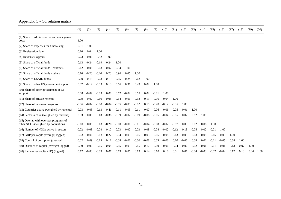# Appendix C - Correlation matrix

|                                                                               | (1)     | (2)      | (3)     | (4)     | (5)     | (6)     | (7)     | (8)     | (9)     | (10)    | (11)    | (12)    | (13)    | (14)    | (15)    | (16)    | (17)    | (18) | (19) | (20) |
|-------------------------------------------------------------------------------|---------|----------|---------|---------|---------|---------|---------|---------|---------|---------|---------|---------|---------|---------|---------|---------|---------|------|------|------|
| (1) Share of administrative and management<br>costs                           | 1.00    |          |         |         |         |         |         |         |         |         |         |         |         |         |         |         |         |      |      |      |
| (2) Share of expenses for fundraising                                         | $-0.01$ | 1.00     |         |         |         |         |         |         |         |         |         |         |         |         |         |         |         |      |      |      |
| (3) Registration date                                                         | 0.10    | 0.04     | 1.00    |         |         |         |         |         |         |         |         |         |         |         |         |         |         |      |      |      |
| (4) Revenue (logged)                                                          | $-0.23$ | $0.00\,$ | $-0.52$ | 1.00    |         |         |         |         |         |         |         |         |         |         |         |         |         |      |      |      |
| (5) Share of official funds                                                   | 0.13    | $-0.24$  | $-0.19$ | 0.24    | 1.00    |         |         |         |         |         |         |         |         |         |         |         |         |      |      |      |
| (6) Share of official funds - contracts                                       | 0.12    | $-0.08$  | $-0.03$ | 0.07    | 0.34    | 1.00    |         |         |         |         |         |         |         |         |         |         |         |      |      |      |
| (7) Share of official funds - others                                          | 0.10    | $-0.23$  | $-0.20$ | 0.23    | 0.96    | 0.05    | 1.00    |         |         |         |         |         |         |         |         |         |         |      |      |      |
| (8) Share of USAID funds                                                      | 0.09    | $-0.19$  | $-0.23$ | 0.19    | 0.65    | 0.24    | 0.62    | 1.00    |         |         |         |         |         |         |         |         |         |      |      |      |
| (9) Share of other US government support                                      | 0.07    | $-0.12$  | $-0.03$ | 0.13    | 0.56    | 0.36    | 0.49    | 0.02    | 1.00    |         |         |         |         |         |         |         |         |      |      |      |
| (10) Share of other government or IO<br>support                               | 0.08    | $-0.09$  | $-0.03$ | 0.08    | 0.52    | $-0.02$ | 0.55    | 0.02    | $-0.01$ | 1.00    |         |         |         |         |         |         |         |      |      |      |
| (11) Share of private revenue                                                 | 0.09    | 0.02     | $-0.10$ | 0.08    | $-0.14$ | $-0.06$ | $-0.13$ | $-0.13$ | $-0.06$ | $-0.04$ | 1.00    |         |         |         |         |         |         |      |      |      |
| (12) Share of overseas programs                                               | $-0.06$ | $-0.04$  | $-0.08$ | $-0.04$ | $-0.05$ | $-0.09$ | $-0.02$ | 0.18    | $-0.20$ | $-0.12$ | $-0.35$ | 1.00    |         |         |         |         |         |      |      |      |
| (13) Countries active (weighted by revenue)                                   | 0.03    | 0.03     | 0.13    | $-0.41$ | $-0.11$ | $-0.03$ | $-0.11$ | $-0.07$ | $-0.06$ | $-0.06$ | $-0.05$ | $-0.01$ | 1.00    |         |         |         |         |      |      |      |
| (14) Sectors active (weighted by revenue)                                     | 0.03    | 0.08     | 0.13    | $-0.36$ | $-0.09$ | $-0.02$ | $-0.09$ | $-0.06$ | $-0.05$ | $-0.04$ | $-0.05$ | 0.02    | 0.82    | 1.00    |         |         |         |      |      |      |
| (15) Overlap with overseas programs of<br>other NGOs (weighted by population) | $-0.10$ | 0.05     | 0.13    | $-0.20$ | $-0.10$ | $-0.01$ | $-0.11$ | $-0.04$ | $-0.08$ | $-0.07$ | $-0.07$ | 0.03    | 0.02    | 0.06    | 1.00    |         |         |      |      |      |
| (16) Number of NGOs active in sectors                                         | $-0.02$ | $-0.08$  | $-0.08$ | 0.10    | 0.03    | 0.02    | 0.03    | 0.08    | $-0.04$ | $-0.02$ | $-0.12$ | 0.13    | $-0.05$ | 0.02    | $-0.01$ | 1.00    |         |      |      |      |
| (17) GDP per capita (average; logged)                                         | 0.03    | 0.00     | $-0.13$ | 0.22    | $-0.04$ | 0.03    | $-0.05$ | $-0.03$ | 0.05    | $-0.08$ | 0.13    | $-0.08$ | $-0.03$ | $-0.08$ | $-0.15$ | $-0.03$ | 1.00    |      |      |      |
| (18) Control of corruption (average)                                          | 0.02    | 0.09     | $-0.13$ | 0.11    | $-0.08$ | $-0.06$ | $-0.06$ | $-0.08$ | 0.03    | $-0.06$ | 0.10    | $-0.06$ | 0.08    | 0.02    | $-0.21$ | $-0.05$ | 0.68    | 1.00 |      |      |
| (19) Distance to capital (average; logged)                                    | 0.09    | 0.00     | $-0.05$ | 0.08    | 0.15    | 0.03    | 0.15    | 0.12    | 0.09    | 0.06    | $-0.04$ | 0.06    | $-0.02$ | 0.01    | $-0.61$ | 0.01    | $-0.13$ | 0.07 | 1.00 |      |
| (20) Income per capita - HQ (logged)                                          | 0.12    | $-0.03$  | $-0.09$ | 0.07    | 0.19    | 0.05    | 0.19    | 0.14    | 0.10    | 0.10    | 0.01    | 0.07    | $-0.04$ | $-0.03$ | $-0.02$ | $-0.04$ | 0.12    | 0.13 | 0.04 | 1.00 |